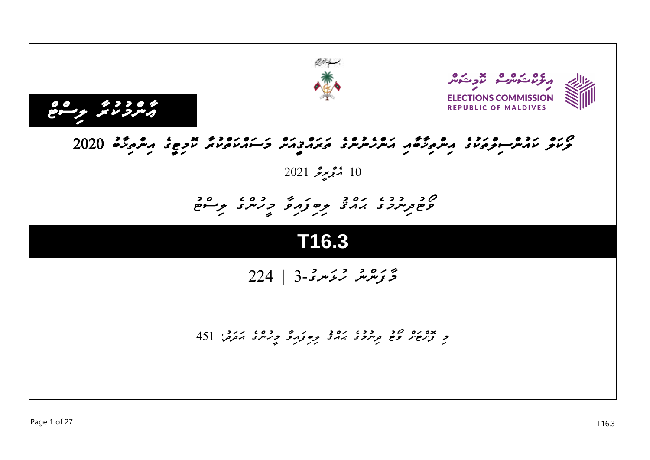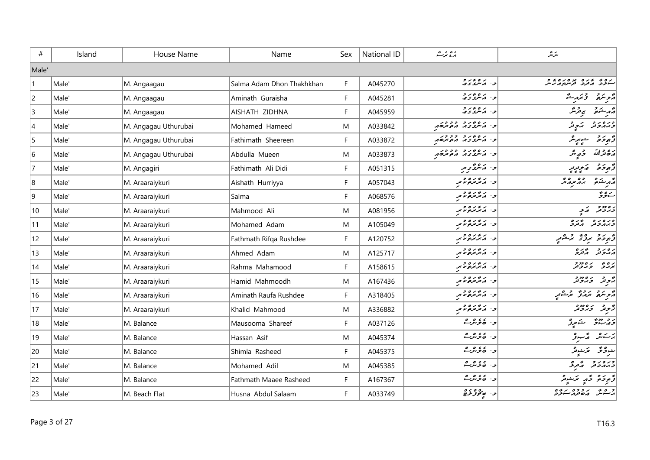| #              | Island | House Name           | Name                      | Sex       | National ID | ، ه ، بر <u>م</u>                         | ىئرىتر                                      |
|----------------|--------|----------------------|---------------------------|-----------|-------------|-------------------------------------------|---------------------------------------------|
| Male'          |        |                      |                           |           |             |                                           |                                             |
|                | Male'  | M. Angaagau          | Salma Adam Dhon Thakhkhan | F         | A045270     | ر ه ۱۶۵۶.<br>د ۱ هرگار د                  | روه به ده بروروبر و<br>سنور مدرد ترسمبرماس  |
| 2              | Male'  | M. Angaagau          | Aminath Guraisha          | F         | A045281     | ر ه ۱۶۵۶.<br>د ۱ سرگ کار                  | أأدح للمتحج تحتكم والمتكم                   |
| $\vert$ 3      | Male'  | M. Angaagau          | AISHATH ZIDHNA            | F         | A045959     | د . م شرور د                              | ەگەرىشكە ئىم تەرىگر                         |
| $\overline{4}$ | Male'  | M. Angagau Uthurubai | Mohamed Hameed            | M         | A033842     | כי ה"מגיב בכבד.<br>כי ה"מגזה התימסת       | دره در در در                                |
| $\overline{5}$ | Male'  | M. Angagau Uthurubai | Fathimath Sheereen        | F         | A033872     | י ה"ס דיני דרך.<br>כי ה"ט בצאה "היב ביסה  | قرموخرة مستبيش                              |
| $\overline{6}$ | Male'  | M. Angagau Uthurubai | Abdulla Mueen             | ${\sf M}$ | A033873     | כי המיגיב בככלה<br>כי היינג צב הם בסת     |                                             |
| 7              | Male'  | M. Angagiri          | Fathimath Ali Didi        | F         | A051315     | د . د کمکوی بر<br>د . د کمکوی بر          | أوجوحاته الماح ومرمر                        |
| $\overline{8}$ | Male'  | M. Araaraiykuri      | Aishath Hurriyya          | F         | A057043     | د . رنمر ده د .                           | הו לי בי הי                                 |
| 9              | Male'  | M. Araaraiykuri      | Salma                     | F         | A068576     | و . كه نر ه و د بر                        | سەدى                                        |
| $ 10\rangle$   | Male'  | M. Araaraiykuri      | Mahmood Ali               | M         | A081956     | - مرکز ده د                               | ره دو د<br>در دو دي                         |
| 11             | Male'  | M. Araaraiykuri      | Mohamed Adam              | M         | A105049     | و به نزیره در در                          | כנסנכ שנס<br>כ <i>ג</i> ונכנג ו <i>ג</i> נכ |
| 12             | Male'  | M. Araaraiykuri      | Fathmath Rifqa Rushdee    | F         | A120752     | د . م تر تره د .<br>د . م تر تره تا تر    | و څوخه مروځ تر شور                          |
| 13             | Male'  | M. Araaraiykuri      | Ahmed Adam                | ${\sf M}$ | A125717     | د . م. تر تره د تر<br>د . م. تر تره تا تر | رەر دىرە                                    |
| 14             | Male'  | M. Araaraiykuri      | Rahma Mahamood            | F         | A158615     | و٠ كەنجرىمى تومۇمىي                       | ره د ره دد و<br>بررگ د بروتر                |
| 15             | Male'  | M. Araaraiykuri      | Hamid Mahmoodh            | ${\sf M}$ | A167436     | و . كه نمر <i>بره و ب</i> ر               | و د دودو<br>پروتر کاپروتر                   |
| 16             | Male'  | M. Araaraiykuri      | Aminath Raufa Rushdee     | F         | A318405     | - روره د                                  | ה ביית הרב בפית                             |
| 17             | Male'  | M. Araaraiykuri      | Khalid Mahmood            | M         | A336882     | د . كه نرمونو نو                          | ژور دروو                                    |
| 18             | Male'  | M. Balance           | Mausooma Shareef          | F         | A037126     | د . ځو پرې                                | ر د دده شکرو<br>در سرگ شکرو                 |
| 19             | Male'  | M. Balance           | Hassan Asif               | M         | A045374     | د . ځو شرت                                | ىر سەش ھەسىدۇ                               |
| 20             | Male'  | M. Balance           | Shimla Rasheed            | F         | A045375     | د . ځو شرته                               | جوونۇ - ئىرچونر                             |
| 21             | Male'  | M. Balance           | Mohamed Adil              | M         | A045385     | د . ځو شرته                               | ورەر دەرد                                   |
| 22             | Male'  | M. Balance           | Fathmath Maaee Rasheed    | F         | A167367     | د . ځو پر ه                               | و ده و په مرسوم                             |
| 23             | Male'  | M. Beach Flat        | Husna Abdul Salaam        | F         | A033749     | د . ھەرگەنى                               | و مشر د ده د ده و                           |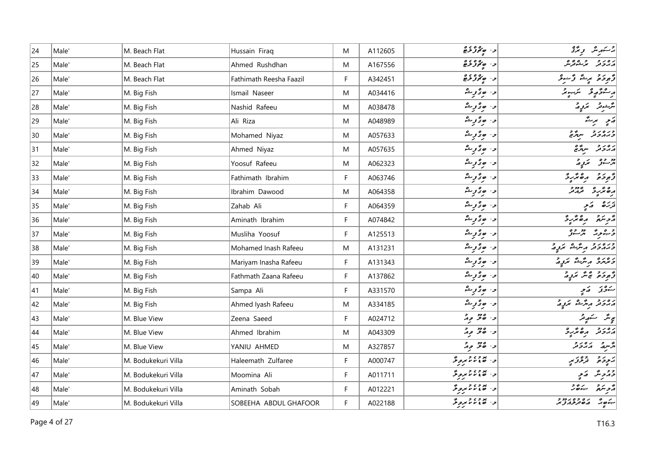| 24 | Male' | M. Beach Flat       | Hussain Firaq           | M         | A112605 | $\begin{vmatrix} 0 & 0 & 0 & 0 \\ 0 & 0 & 0 & 0 \\ 0 & 0 & 0 & 0 \\ 0 & 0 & 0 & 0 \\ 0 & 0 & 0 & 0 \\ 0 & 0 & 0 & 0 \\ 0 & 0 & 0 & 0 \\ 0 & 0 & 0 & 0 \\ 0 & 0 & 0 & 0 \\ 0 & 0 & 0 & 0 \\ 0 & 0 & 0 & 0 & 0 \\ 0 & 0 & 0 & 0 & 0 \\ 0 & 0 & 0 & 0 & 0 \\ 0 & 0 & 0 & 0 & 0 & 0 \\ 0 & 0 & 0 & 0 & 0 & 0 \\ 0 & 0 & 0 & 0 & $ | 2سكەرىنى بويتىتى                                          |
|----|-------|---------------------|-------------------------|-----------|---------|-------------------------------------------------------------------------------------------------------------------------------------------------------------------------------------------------------------------------------------------------------------------------------------------------------------------------------|-----------------------------------------------------------|
| 25 | Male' | M. Beach Flat       | Ahmed Rushdhan          | M         | A167556 | $ e, e\$                                                                                                                                                                                                                                                                                                                      | رەرد دەپرە                                                |
| 26 | Male' | M. Beach Flat       | Fathimath Reesha Faazil | F         | A342451 | وسي محوفه فرقع                                                                                                                                                                                                                                                                                                                | أزودة برعة وتبو                                           |
| 27 | Male' | M. Big Fish         | Ismail Naseer           | M         | A034416 | و. ھۇرىشە                                                                                                                                                                                                                                                                                                                     | ر شۇرۇ سىببۇ                                              |
| 28 | Male' | M. Big Fish         | Nashid Rafeeu           | ${\sf M}$ | A038478 | د. ھۆرىش                                                                                                                                                                                                                                                                                                                      | شهور ترو <sup>1</sup>                                     |
| 29 | Male' | M. Big Fish         | Ali Riza                | M         | A048989 | د. ھۇرىشە                                                                                                                                                                                                                                                                                                                     | أرشع سريسة                                                |
| 30 | Male' | M. Big Fish         | Mohamed Niyaz           | M         | A057633 | <mark>و. ھ</mark> وگرېش                                                                                                                                                                                                                                                                                                       | و ر ه ر و<br>تر پر ژ تر<br>سردنج                          |
| 31 | Male' | M. Big Fish         | Ahmed Niyaz             | ${\sf M}$ | A057635 | ه موړې شه                                                                                                                                                                                                                                                                                                                     | גם ג' בי ייטרא                                            |
| 32 | Male' | M. Big Fish         | Yoosuf Rafeeu           | ${\sf M}$ | A062323 | <mark>و. ھ<sup>و</sup>گريش</mark>                                                                                                                                                                                                                                                                                             | در ده برړ د                                               |
| 33 | Male' | M. Big Fish         | Fathimath Ibrahim       | F         | A063746 | <mark>و، ھ<sup>و</sup>گريش</mark>                                                                                                                                                                                                                                                                                             | أوجود مقترره                                              |
| 34 | Male' | M. Big Fish         | Ibrahim Dawood          | M         | A064358 | د. ھ <sup>و</sup> گرېش                                                                                                                                                                                                                                                                                                        | ە ھەترىرى<br>رەھىرىرى<br>پر دو و<br>تو <sub>م</sub> هر تو |
| 35 | Male' | M. Big Fish         | Zahab Ali               | F         | A064359 | د. ھۆرىش                                                                                                                                                                                                                                                                                                                      | أنرره أترمج                                               |
| 36 | Male' | M. Big Fish         | Aminath Ibrahim         | F         | A074842 | <mark>و. ھ<sup>و</sup>گر ش</mark>                                                                                                                                                                                                                                                                                             |                                                           |
| 37 | Male' | M. Big Fish         | Musliha Yoosuf          | F         | A125513 | <mark>و، ھ<sup>و</sup>گريش</mark>                                                                                                                                                                                                                                                                                             | و ه و د وه                                                |
| 38 | Male' | M. Big Fish         | Mohamed Inash Rafeeu    | ${\sf M}$ | A131231 | د. ھوگرېشه                                                                                                                                                                                                                                                                                                                    | ورورو رئزے بزرد                                           |
| 39 | Male' | M. Big Fish         | Mariyam Inasha Rafeeu   | F         | A131343 | و. ھۇرىشە                                                                                                                                                                                                                                                                                                                     |                                                           |
| 40 | Male' | M. Big Fish         | Fathmath Zaana Rafeeu   | F         | A137862 | د. ھوگرېشه                                                                                                                                                                                                                                                                                                                    | توجد يمتر بررد                                            |
| 41 | Male' | M. Big Fish         | Sampa Ali               | F         | A331570 | <mark>و، ھ<sup>و</sup>گريش</mark>                                                                                                                                                                                                                                                                                             | سەۋىيە ئەم                                                |
| 42 | Male' | M. Big Fish         | Ahmed Iyash Rafeeu      | M         | A334185 | د. ھ <sup>و</sup> گرېش                                                                                                                                                                                                                                                                                                        |                                                           |
| 43 | Male' | M. Blue View        | Zeena Saeed             | F         | A024712 | 7, 70, 70, 7                                                                                                                                                                                                                                                                                                                  | ىپ ئىگە سىكھەتتى                                          |
| 44 | Male' | M. Blue View        | Ahmed Ibrahim           | ${\sf M}$ | A043309 | و. هو ود                                                                                                                                                                                                                                                                                                                      | גפנד השתנים                                               |
| 45 | Male' | M. Blue View        | YANIU AHMED             | M         | A327857 | والمحقح وأثر                                                                                                                                                                                                                                                                                                                  | ה הפניק                                                   |
| 46 | Male' | M. Bodukekuri Villa | Haleemath Zulfaree      | F         | A000747 | د په ده د مروځ                                                                                                                                                                                                                                                                                                                | برمويزة ودورس                                             |
| 47 | Male' | M. Bodukekuri Villa | Moomina Ali             | F         | A011711 | د . په دې د بروڅه                                                                                                                                                                                                                                                                                                             | دروبڈ میو                                                 |
| 48 | Male' | M. Bodukekuri Villa | Aminath Sobah           | F         | A012221 | - پروژه د مروڅه                                                                                                                                                                                                                                                                                                               | أرمز بنره<br>ىبە ۋە                                       |
| 49 | Male' | M. Bodukekuri Villa | SOBEEHA ABDUL GHAFOOR   | F         | A022188 | <br> د ې د د د د بروڅ                                                                                                                                                                                                                                                                                                         | بزه پره ده ده د                                           |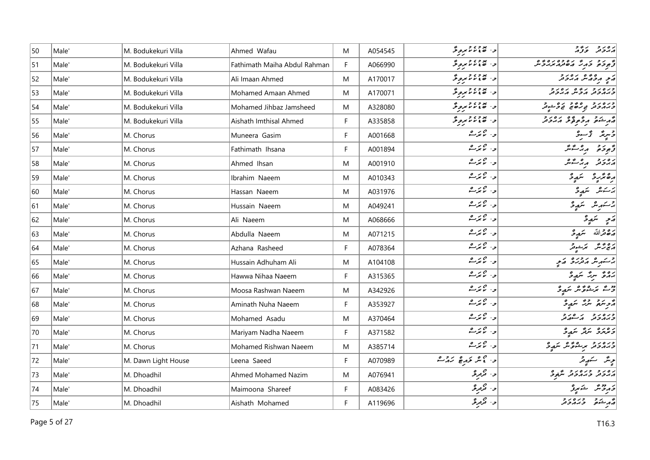| 50 | Male' | M. Bodukekuri Villa | Ahmed Wafau                  | M | A054545 | د ، ئ د د ، د ، د و ځه           | ر ہ ر د در<br>مدرو گھر                                                                               |
|----|-------|---------------------|------------------------------|---|---------|----------------------------------|------------------------------------------------------------------------------------------------------|
| 51 | Male' | M. Bodukekuri Villa | Fathimath Maiha Abdul Rahman | F | A066990 | د به درود په کلمبرو مڅه          |                                                                                                      |
| 52 | Male' | M. Bodukekuri Villa | Ali Imaan Ahmed              | M | A170017 | د . په دې د<br>د . ځه د مامورو څ | ביב תכבית המכת                                                                                       |
| 53 | Male' | M. Bodukekuri Villa | Mohamed Amaan Ahmed          | M | A170071 | د . پروه د محرورځ                | כנסג כ- גודם - גםגב<br>ב. גובב ב- ג'ובר ב-                                                           |
| 54 | Male' | M. Bodukekuri Villa | Mohamed Jihbaz Jamsheed      | M | A328080 | د ، نوره ده د د                  | ورەر د مەد رەپ                                                                                       |
| 55 | Male' | M. Bodukekuri Villa | Aishath Imthisal Ahmed       | F | A335858 | د به درور د گر                   | أثمر شوه ووموقوع وورد                                                                                |
| 56 | Male' | M. Chorus           | Muneera Gasim                | F | A001668 | ح به محمد ک                      | دُ سِرْ جُمْ - وَ حَ                                                                                 |
| 57 | Male' | M. Chorus           | Fathimath Ihsana             | F | A001894 | ح به محمد ک                      | توجوه مدعشر                                                                                          |
| 58 | Male' | M. Chorus           | Ahmed Ihsan                  | M | A001910 | د ، مذمخر شر                     | أرەر دەر ئەر                                                                                         |
| 59 | Male' | M. Chorus           | Ibrahim Naeem                | M | A010343 | د ، ئەنمەت                       | أرە ئەر ئىس ئىكتى                                                                                    |
| 60 | Male' | M. Chorus           | Hassan Naeem                 | M | A031976 | د ، مذمخر شر                     | يز کش الله علم الله علم الله الله علم الله الله علم الله علم الله علم الله علم الله علم الله الله عل |
| 61 | Male' | M. Chorus           | Hussain Naeem                | M | A049241 | د ، رهمخر شه                     | 2-كىرىر سىمپە                                                                                        |
| 62 | Male' | M. Chorus           | Ali Naeem                    | M | A068666 | د ، ئەنمەت                       | أوسم التمدير والمحمد                                                                                 |
| 63 | Male' | M. Chorus           | Abdulla Naeem                | M | A071215 | د ، را مړک                       | رە داللە سەرق                                                                                        |
| 64 | Male' | M. Chorus           | Azhana Rasheed               | F | A078364 | د ، رهمخر شه                     | أرەم ئەنگە ئىرىشوقر                                                                                  |
| 65 | Male' | M. Chorus           | Hussain Adhuham Ali          | M | A104108 | ى ئەنگەر ھ                       | بر مسكر شرور محمد الكرمز                                                                             |
| 66 | Male' | M. Chorus           | Hawwa Nihaa Naeem            | F | A315365 | و، ئۈيزگە                        | پروی سربر سَمِدِ و                                                                                   |
| 67 | Male' | M. Chorus           | Moosa Rashwan Naeem          | M | A342926 | د ، نائمز ک                      | دو د مره وي کړه و                                                                                    |
| 68 | Male' | M. Chorus           | Aminath Nuha Naeem           | F | A353927 | ى ئەنگەنىشە                      | أأدو سره المراجع المراجع                                                                             |
| 69 | Male' | M. Chorus           | Mohamed Asadu                | M | A370464 | د ، ئەنمەت                       | כנסנכ הפנב<br>כגמכנה הא-יו <i>מ</i> נק                                                               |
| 70 | Male' | M. Chorus           | Mariyam Nadha Naeem          | F | A371582 | د ، را مړک                       | د وره مرتگر سَمِيرٌ د                                                                                |
| 71 | Male' | M. Chorus           | Mohamed Rishwan Naeem        | M | A385714 | و، ئۈيمەت                        | ورەرو برخۇش شەر                                                                                      |
| 72 | Male' | M. Dawn Light House | Leena Saeed                  | F | A070989 | والمحمد قهرها الهرام             | ىچە ئىق <sub>ە</sub> تەرەپىر                                                                         |
| 73 | Male' | M. Dhoadhil         | Ahmed Mohamed Nazim          | M | A076941 | و. تژىرۇ                         | ره رو وره رو شرو                                                                                     |
| 74 | Male' | M. Dhoadhil         | Maimoona Shareef             | F | A083426 | و· ثرٌمرِوٌ                      | دَبردَّيْتُرَ شَهْرِرْ                                                                               |
| 75 | Male' | M. Dhoadhil         | Aishath Mohamed              | F | A119696 | و· تژمرژ                         | د در دره در در د                                                                                     |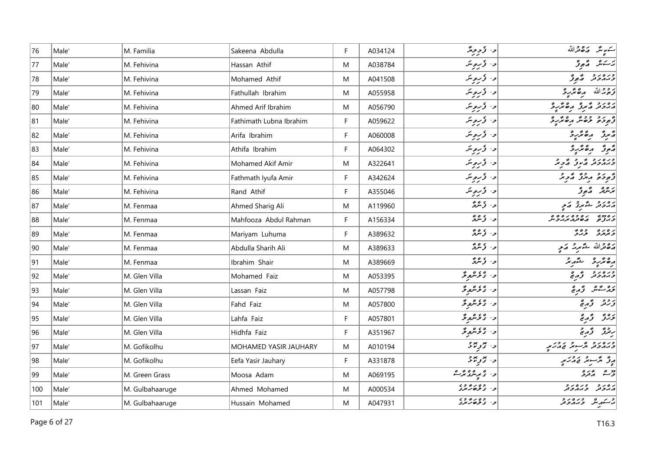| 76  | Male' | M. Familia      | Sakeena Abdulla         | F         | A034124 | <sub>و</sub> . ڈوبورڈ                     | سَمَٰرٍ مَثَرَ مَسَرَّدَ مَدَّاللَّهُ                                                                          |
|-----|-------|-----------------|-------------------------|-----------|---------|-------------------------------------------|----------------------------------------------------------------------------------------------------------------|
| 77  | Male' | M. Fehivina     | Hassan Athif            | M         | A038784 | وسؤرپویتر                                 | پرستمبر مقبور                                                                                                  |
| 78  | Male' | M. Fehivina     | Mohamed Athif           | M         | A041508 | <sub>و</sub> . ڈر <sub>ِ ح</sub> ویٹر     | وره دو ده ور                                                                                                   |
| 79  | Male' | M. Fehivina     | Fathullah Ibrahim       | M         | A055958 | <mark>و· ؤرويتر</mark>                    | ترح تر الله                                                                                                    |
| 80  | Male' | M. Fehivina     | Ahmed Arif Ibrahim      | M         | A056790 | <sub>و</sub> . ڈر <sub>ِ ح</sub> ویٹر     | גפנד היות הסתיק                                                                                                |
| 81  | Male' | M. Fehivina     | Fathimath Lubna Ibrahim | F         | A059622 | <sub>و</sub> . ڈرویئر                     |                                                                                                                |
| 82  | Male' | M. Fehivina     | Arifa Ibrahim           | F         | A060008 | <mark>و· ؤرويتر</mark>                    | أوسرقه وكالحرير                                                                                                |
| 83  | Male' | M. Fehivina     | Athifa Ibrahim          | F         | A064302 | ه و و رو پر                               | أقموقه مرضور                                                                                                   |
| 84  | Male' | M. Fehivina     | Mohamed Akif Amir       | ${\sf M}$ | A322641 | <sub>و</sub> . ڈر <sub>ِ ح</sub> ویٹر     | כנסק בע בעל בכב                                                                                                |
| 85  | Male' | M. Fehivina     | Fathmath Iyufa Amir     | F         | A342624 | <sub>و</sub> . ڈر <sub>و</sub> یڈ         | وتجوحهم مرمرز متجربته                                                                                          |
| 86  | Male' | M. Fehivina     | Rand Athif              | F         | A355046 | -<br> - ك <sup>و</sup> رويتر              | برەۋ ھەدى                                                                                                      |
| 87  | Male' | M. Fenmaa       | Ahmed Sharig Ali        | ${\sf M}$ | A119960 | و· ۋىرگە                                  | رەرو شەرق مېر                                                                                                  |
| 88  | Male' | M. Fenmaa       | Mahfooza Abdul Rahman   | F         | A156334 | د . ۇىئەۋ                                 | ره دد به ره وه ره و ه<br>ح برونو ها مه تورم بوبرو س                                                            |
| 89  | Male' | M. Fenmaa       | Mariyam Luhuma          | F         | A389632 | د . ۇىرگە                                 | נים נים 200<br>בינות בניב                                                                                      |
| 90  | Male' | M. Fenmaa       | Abdulla Sharih Ali      | ${\sf M}$ | A389633 | د . ۇىئرۇ                                 | أرَة قرالله ڪُمرِ جَمْعٍ                                                                                       |
| 91  | Male' | M. Fenmaa       | Ibrahim Shair           | ${\sf M}$ | A389669 | .<br>د· ۆمىر                              | دەندىرو شەرىر                                                                                                  |
| 92  | Male' | M. Glen Villa   | Mohamed Faiz            | M         | A053395 | و ، د د شهویڅ                             | ورورو وم                                                                                                       |
| 93  | Male' | M. Glen Villa   | Lassan Faiz             | M         | A057798 | و ، د د شهویڅ                             | كوهر ششر قرمري                                                                                                 |
| 94  | Male' | M. Glen Villa   | Fahd Faiz               | M         | A057800 | د ، دو ده دو د                            | تزريتر تزريج                                                                                                   |
| 95  | Male' | M. Glen Villa   | Lahfa Faiz              | F         | A057801 | ى گەنگىرىگە ئىگەنگە                       | تۇرۇ ئۇرغ                                                                                                      |
| 96  | Male' | M. Glen Villa   | Hidhfa Faiz             | F         | A351967 | و· ۇقرىئىموگە                             | رِ قرآن قرآن محمد ح                                                                                            |
| 97  | Male' | M. Gofikolhu    | MOHAMED YASIR JAUHARY   | M         | A010194 | د. بوړیو د                                | כנסגב בי הכנית.<br>כממכני תיימי במימי                                                                          |
| 98  | Male' | M. Gofikolhu    | Eefa Yasir Jauhary      | F         | A331878 | د. بیوریوژ                                | وق المسولم فأورس                                                                                               |
| 99  | Male' | M. Green Grass  | Moosa Adam              | ${\sf M}$ | A069195 | د ، د پرېټر <sub>ى</sub> پره              | ويستعمد ويحدد                                                                                                  |
| 100 | Male' | M. Gulbahaaruge | Ahmed Mohamed           | M         | A000534 | 599090                                    | נפנד בנסנד<br>הגבת בגהבת                                                                                       |
| 101 | Male' | M. Gulbahaaruge | Hussain Mohamed         | ${\sf M}$ | A047931 | وه ده و و و و و<br>و ۰ <b>و مون تور</b> و | ج کے مرکز دیکھ دیکھ کر دیکھ کر دیکھ کر دیکھ کر دیکھ کر دیکھ کر دیکھ کر دیکھ کر دیکھ کر دیکھ کا کامکا کے باق کے |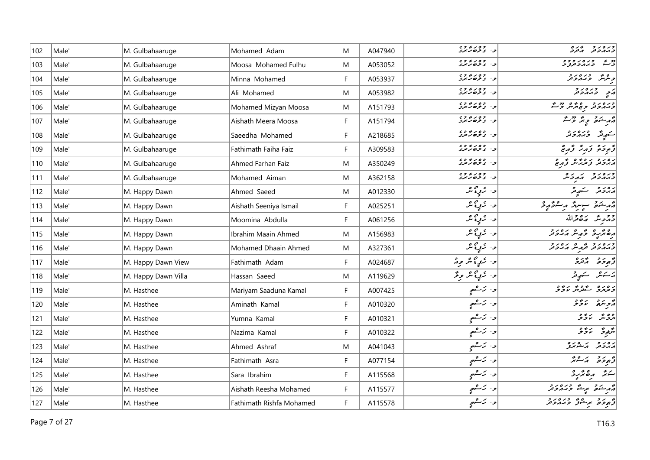| 102 | Male' | M. Gulbahaaruge     | Mohamed Adam             | M  | A047940 | وه ده د و و و و<br>و ۰ و موقع مونو              | وره رو په ره<br><i>وبرم</i> ونر م <i>ې</i> رو           |
|-----|-------|---------------------|--------------------------|----|---------|-------------------------------------------------|---------------------------------------------------------|
| 103 | Male' | M. Gulbahaaruge     | Moosa Mohamed Fulhu      | M  | A053052 | وه ده و و و و و<br>و ۰ و بو ه مر مور            | ۶ ۶ ۶ ۶ ۶ ۶ ۶ ۶<br>قربر <b>۸</b> رقم و رقمه<br>تر معتبر |
| 104 | Male' | M. Gulbahaaruge     | Minna Mohamed            | F  | A053937 | وه ده د و و و<br>و ۰ د مون تور                  | و ره ر د<br>تر پر ژنر<br>د مرتگر                        |
| 105 | Male' | M. Gulbahaaruge     | Ali Mohamed              | M  | A053982 | وه وه د و و و و<br>و ۰ و بو ه مر مور            | أثمو وره رو                                             |
| 106 | Male' | M. Gulbahaaruge     | Mohamed Mizyan Moosa     | M  | A151793 | وه د و د و و ،<br>و ۰ د <del>ن</del> ون تر بو د | כנסגב כמתים מגור<br>בממכת כמתיית כ                      |
| 107 | Male' | M. Gulbahaaruge     | Aishath Meera Moosa      | F. | A151794 | وه د و د و و ،<br>و · د محره تر بو د            | أورشني وبرادم                                           |
| 108 | Male' | M. Gulbahaaruge     | Saeedha Mohamed          | F  | A218685 | وه د ه د و و و<br>و ۰ ک <b>نوره</b> تر بور      | سكهيد وره دو                                            |
| 109 | Male' | M. Gulbahaaruge     | Fathimath Faiha Faiz     | F  | A309583 | وه د ه د و و و<br>و ۰ ک <b>نوره</b> تر بور      | وتجوحه وربر ومرج                                        |
| 110 | Male' | M. Gulbahaaruge     | Ahmed Farhan Faiz        | M  | A350249 | وه ده د و و و<br>و ۰ د مرده <i>ر</i> بود        | برور و بر وی می و در و                                  |
| 111 | Male' | M. Gulbahaaruge     | Mohamed Aiman            | M  | A362158 | وه د ورو و ،<br>و · د محره تر بود               | כממכת התכיל                                             |
| 112 | Male' | M. Happy Dawn       | Ahmed Saeed              | M  | A012330 | د . ئ يې مگر                                    | د ه د د سر د د                                          |
| 113 | Male' | M. Happy Dawn       | Aishath Seeniya Ismail   | F  | A025251 | د <sub>:</sub> گ <sub>ر</sub> وچ مگر            | ړې شوه سرسر پر شو څرمو                                  |
| 114 | Male' | M. Happy Dawn       | Moomina Abdulla          | F  | A061256 | د . ئەيدىم مىر                                  | وقرح محر وكافدالله                                      |
| 115 | Male' | M. Happy Dawn       | Ibrahim Maain Ahmed      | M  | A156983 | د . ئەيدىم بىر                                  | مەھەر 3 مۇمەر مەدەر                                     |
| 116 | Male' | M. Happy Dawn       | Mohamed Dhaain Ahmed     | M  | A327361 | د . ئ يې مگر                                    | ورەر دېم مەدر د                                         |
| 117 | Male' | M. Happy Dawn View  | Fathimath Adam           | F  | A024687 | د· ر <sub>گو</sub> ړي مر ور <sup>م</sup>        | و مورد و دره                                            |
| 118 | Male' | M. Happy Dawn Villa | Hassan Saeed             | M  | A119629 | د· رکړې چگر وگر                                 | ىر سەش سىمەتىر                                          |
| 119 | Male' | M. Hasthee          | Mariyam Saaduna Kamal    | F  | A007425 | ح- ئەسىم<br>تەر                                 | ر ہ رہ معاونہ ہے جاتا ہے<br>حامداری استخراس کا حافز     |
| 120 | Male' | M. Hasthee          | Aminath Kamal            | F  | A010320 | احس ترحمي                                       | ۇربىر ئۇۋ                                               |
| 121 | Male' | M. Hasthee          | Yumna Kamal              | F  | A010321 | احق ترحيح                                       | وه بر موجود<br>مرح مرکز کر                              |
| 122 | Male' | M. Hasthee          | Nazima Kamal             | F  | A010322 | د با کر <u>ا هم</u> چ                           | لمتمنج وأكافر                                           |
| 123 | Male' | M. Hasthee          | Ahmed Ashraf             | M  | A041043 | د . ئەش <sub>ق</sub> چ                          | رەرد رشىر                                               |
| 124 | Male' | M. Hasthee          | Fathimath Asra           | F  | A077154 | و. زرعيمج                                       | ژ <sub>جوځن</sub> ج <sub>م</sub> رگ                     |
| 125 | Male' | M. Hasthee          | Sara Ibrahim             | F  | A115568 | و. ئەشھ                                         | سَمَدٌ رِهِ بَدْرِ ج                                    |
| 126 | Male' | M. Hasthee          | Aishath Reesha Mohamed   | F  | A115577 | - رَشْهِ                                        | مەر ئىكى ئەرەر د                                        |
| 127 | Male' | M. Hasthee          | Fathimath Rishfa Mohamed | F  | A115578 | وستركيم                                         | تحجيجة برشنق وره رو                                     |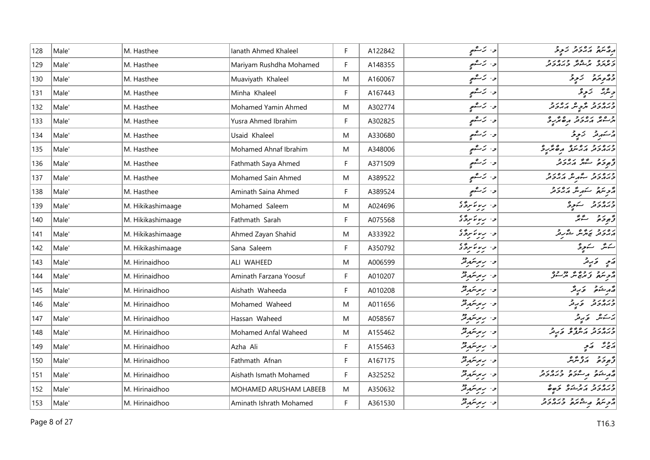| 128 | Male' | M. Hasthee        | lanath Ahmed Khaleel          | F  | A122842 | احس ترهيمي                         | أرشته متحدد تتجي                                      |
|-----|-------|-------------------|-------------------------------|----|---------|------------------------------------|-------------------------------------------------------|
| 129 | Male' | M. Hasthee        | Mariyam Rushdha Mohamed       | F. | A148355 | وستركيمو                           | ر ۲۵ د ۵ و ۶ در ۲۵ در و<br>د کرمرو مر شوتر و بر مروتر |
| 130 | Male' | M. Hasthee        | Muaviyath Khaleel             | M  | A160067 | و· ئرگىمچ                          | وقدم والمرقم المستوفر                                 |
| 131 | Male' | M. Hasthee        | Minha Khaleel                 | F. | A167443 | احز ترحمي                          | ویژد کی دیگر                                          |
| 132 | Male' | M. Hasthee        | Mohamed Yamin Ahmed           | M  | A302774 | اح، ترحمي                          | ورەرو پەيدەرو                                         |
| 133 | Male' | M. Hasthee        | Yusra Ahmed Ibrahim           | F  | A302825 | وستركيمهمج                         | و ه به بره د و په ورو و                               |
| 134 | Male' | M. Hasthee        | Usaid Khaleel                 | M  | A330680 | وستركيم                            | رحمار دائر دیگر                                       |
| 135 | Male' | M. Hasthee        | Mohamed Ahnaf Ibrahim         | M  | A348006 | وستركيم                            | ورەر د رەرە مەھرىرە                                   |
| 136 | Male' | M. Hasthee        | Fathmath Saya Ahmed           | F  | A371509 | وسترحيح                            | و دو مشهو بره دو                                      |
| 137 | Male' | M. Hasthee        | Mohamed Sain Ahmed            | M  | A389522 | وسترك همج                          | ورەرو بەرھ رەرو                                       |
| 138 | Male' | M. Hasthee        | Aminath Saina Ahmed           | F. | A389524 | و، رَسْمَ و                        | مجمجه سنتج مستر متهاجم والمراجع                       |
| 139 | Male' | M. Hikikashimaage | Mohamed Saleem                | M  | A024696 | و سرما مورد د<br>مسر در م          | ورەر ئەرو                                             |
| 140 | Male' | M. Hikikashimaage | Fathmath Sarah                | F. | A075568 | د· رى <sub>رىم</sub> ىتىردى<br>رىر | أوجوحه ستمتر                                          |
| 141 | Male' | M. Hikikashimaage | Ahmed Zayan Shahid            | M  | A333922 | و سرىرىدى.<br>سرىرىدىن             | رور و برور ځرو                                        |
| 142 | Male' | M. Hikikashimaage | Sana Saleem                   | F  | A350792 | و سرىرىدىدى<br>سرىر سر             | سەنئە سەبوۋ                                           |
| 143 | Male' | M. Hirinaidhoo    | ALI WAHEED                    | M  | A006599 | وسير سرمرور                        | أة يحو تحريقر                                         |
| 144 | Male' | M. Hirinaidhoo    | Aminath Farzana Yoosuf        | F  | A010207 | و . ربر سرگرفتر<br>مسیر بر م       | ه پره بروره و ده وه<br>مرسمه زیره ش                   |
| 145 | Male' | M. Hirinaidhoo    | Aishath Waheeda               | F. | A010208 | و . ربر سکرده<br>مسیر بر           | أقهر مشكاتهم وأراقد                                   |
| 146 | Male' | M. Hirinaidhoo    | Mohamed Waheed                | M  | A011656 | وسير سرمرور                        | وره دو کرد                                            |
| 147 | Male' | M. Hirinaidhoo    | Hassan Waheed                 | M  | A058567 | وسير سرمرور                        | برسكس كالبيض                                          |
| 148 | Male' | M. Hirinaidhoo    | Mohamed Anfal Waheed          | M  | A155462 | و . ربر سرور در<br>مسیر بر م       | ورەر دىرە ئۇچە ئەيلى                                  |
| 149 | Male' | M. Hirinaidhoo    | Azha Ali                      | F. | A155463 | و . ربر سرگرفتر<br>مسیر بر         | پرځرمنځ په پرې                                        |
| 150 | Male' | M. Hirinaidhoo    | Fathmath Afnan                | F  | A167175 | وسر برسکرد فر<br>- --              | توجد برويمه                                           |
| 151 | Male' | M. Hirinaidhoo    | Aishath Ismath Mohamed        | F  | A325252 | وسير سرمرور                        | ورشوه برسوده وره دد                                   |
| 152 | Male' | M. Hirinaidhoo    | <b>MOHAMED ARUSHAM LABEEB</b> | M  | A350632 | وسربر شرددد                        | وره د و بر و بر و مخرج ه                              |
| 153 | Male' | M. Hirinaidhoo    | Aminath Ishrath Mohamed       | F  | A361530 | وسيرسمدة                           |                                                       |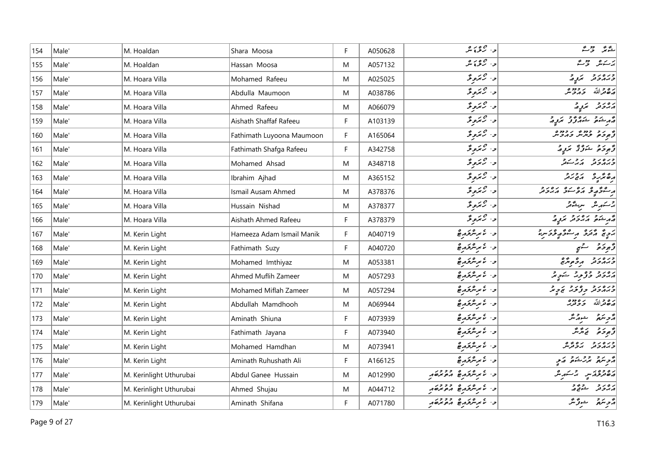| 154 | Male' | M. Hoaldan              | Shara Moosa               | F           | A050628 | د. ژوبړه                                                   |                                                |
|-----|-------|-------------------------|---------------------------|-------------|---------|------------------------------------------------------------|------------------------------------------------|
| 155 | Male' | M. Hoaldan              | Hassan Moosa              | M           | A057132 | د. ژوبړ ه                                                  | بزسەيىتى<br>د پيشه                             |
| 156 | Male' | M. Hoara Villa          | Mohamed Rafeeu            | M           | A025025 | و· رُحمَووٌ                                                | ورەرو برړو                                     |
| 157 | Male' | M. Hoara Villa          | Abdulla Maumoon           | M           | A038786 | وسيحتمومح                                                  | برە دالله<br>ىر د دو ه                         |
| 158 | Male' | M. Hoara Villa          | Ahmed Rafeeu              | M           | A066079 | د· ر <i>گى</i> خوڅ                                         | د د د د پر د                                   |
| 159 | Male' | M. Hoara Villa          | Aishath Shaffaf Rafeeu    | $\mathsf F$ | A103139 | ە بە ئەترەپ                                                | مەر شەھ شەرۇر مەر                              |
| 160 | Male' | M. Hoara Villa          | Fathimath Luyoona Maumoon | F           | A165064 | د . ژىمزوگر                                                | ם גב כחב גבחם<br>צףכת בתית כתכית               |
| 161 | Male' | M. Hoara Villa          | Fathimath Shafga Rafeeu   | F           | A342758 | و· ژىمەرگە                                                 | وَجِوحَامَ شَوَرٌ فَيَ يَرَوٍ مَ               |
| 162 | Male' | M. Hoara Villa          | Mohamed Ahsad             | M           | A348718 | و· رحمتمومً                                                | ورەرو رورو                                     |
| 163 | Male' | M. Hoara Villa          | Ibrahim Ajhad             | M           | A365152 | - ريخ ترو پڅه                                              | مەھەر ئەقرىدە                                  |
| 164 | Male' | M. Hoara Villa          | Ismail Ausam Ahmed        | M           | A378376 | و· رُمَمَوِمَّ                                             | ر موځ ده ده ده ده ده د                         |
| 165 | Male' | M. Hoara Villa          | Hussain Nishad            | M           | A378377 | و· رحمتمومً                                                | رحم مشر من من من المريضة من المر               |
| 166 | Male' | M. Hoara Villa          | Aishath Ahmed Rafeeu      | F           | A378379 | - ريخ پرې گلنگ په مختلف کلی لري لري.<br>مرگز برگ لري پروگل | ה<br>האנשים גיבע בניה                          |
| 167 | Male' | M. Kerin Light          | Hameeza Adam Ismail Manik | $\mathsf F$ | A040719 | د ، ئامرىكرىدۇرغ                                           | بَرْدِجٌ مُرْتَرَدٌ مِرْ - وَ مِرْدُ وَ سِرْءٌ |
| 168 | Male' | M. Kerin Light          | Fathimath Suzy            | F           | A040720 | و· ئامرىكر <i>ۇر</i> غ                                     | ژُهِ دَمُو گُنمٍ                               |
| 169 | Male' | M. Kerin Light          | Mohamed Imthiyaz          | M           | A053381 | د ، مأمر شركزم هي                                          | כנסגב תכתחה                                    |
| 170 | Male' | M. Kerin Light          | Ahmed Muflih Zameer       | M           | A057293 | د ، مأمر مر <i>كز</i> رقع                                  | ړه د د ووږ شوږ                                 |
| 171 | Male' | M. Kerin Light          | Mohamed Miflah Zameer     | M           | A057294 | ح الأمر مركز كرم<br>م                                      | ورورو ووود ټوپه                                |
| 172 | Male' | M. Kerin Light          | Abdullah Mamdhooh         | M           | A069944 | د ، مأمر مر <i>كز</i> رقع                                  | رەقراللە رەددە                                 |
| 173 | Male' | M. Kerin Light          | Aminath Shiuna            | F           | A073939 | د ، مأمر مر <i>كز</i> رقع                                  | شەرگە ئىگر<br>أرمز تركم                        |
| 174 | Male' | M. Kerin Light          | Fathimath Jayana          | $\mathsf F$ | A073940 | د ، مأمر مركز <sub>مر</sub> ة                              | قهوزة وترتك                                    |
| 175 | Male' | M. Kerin Light          | Mohamed Hamdhan           | M           | A073941 | د ، مأمر مركز <sub>مر</sub> ة                              | ورەرو رەپەە<br><i>جەمەدىر پ</i> ەرتر           |
| 176 | Male' | M. Kerin Light          | Aminath Ruhushath Ali     | F           | A166125 | وسأمر مركز وقح                                             | أأدبره بررشنق أبد                              |
| 177 | Male' | M. Kerinlight Uthurubai | Abdul Ganee Hussain       | M           | A012990 | و کامر مرکز و دو دور                                       | גלבצגע ג׳הנית                                  |
| 178 | Male' | M. Kerinlight Uthurubai | Ahmed Shujau              | M           | A044712 | و غېرمرموړه دوور                                           | رەر دەرد<br><mark>دىرى ئىق</mark>              |
| 179 | Male' | M. Kerinlight Uthurubai | Aminath Shifana           | F           | A071780 | وسنتر مريد كرده ودود                                       | مەھ سىر ئىسى ئىس                               |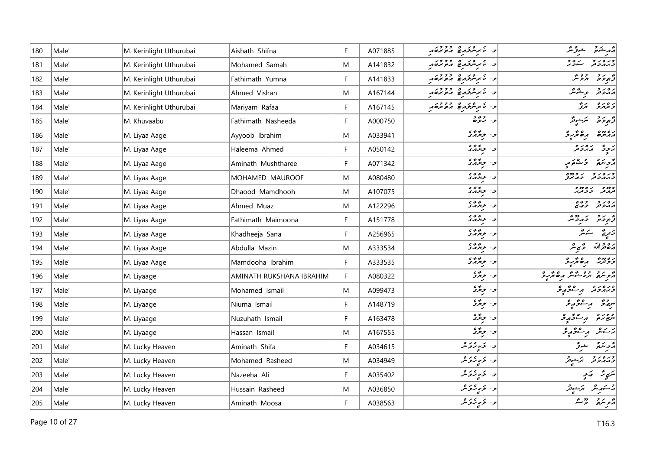| 180 | Male' | M. Kerinlight Uthurubai | Aishath Shifna           | F           | A071885 | و غېرمرمزمو مومهم           | أقهر مشكرة كالمستورثين                                                                                                                                                                                                           |
|-----|-------|-------------------------|--------------------------|-------------|---------|-----------------------------|----------------------------------------------------------------------------------------------------------------------------------------------------------------------------------------------------------------------------------|
| 181 | Male' | M. Kerinlight Uthurubai | Mohamed Samah            | M           | A141832 | والمعر مركز مع ودودر        | ورەر دەر                                                                                                                                                                                                                         |
| 182 | Male' | M. Kerinlight Uthurubai | Fathimath Yumna          | $\mathsf F$ | A141833 | و· غېر مرکز ده وروستونه     | و ه پر<br>در د س<br>ا تو بر در<br>ا                                                                                                                                                                                              |
| 183 | Male' | M. Kerinlight Uthurubai | Ahmed Vishan             | M           | A167144 | 9. مامر شركرم و دور .       | برەر دىشەر                                                                                                                                                                                                                       |
| 184 | Male' | M. Kerinlight Uthurubai | Mariyam Rafaa            | F           | A167145 | و غرير مردم موردم           | ر ه ر ه<br><del>ر</del> بربرگ                                                                                                                                                                                                    |
| 185 | Male' | M. Khuvaabu             | Fathimath Nasheeda       | F           | A000750 | و به شرق ه                  | سكرشونگر<br>ا تو بر د<br>ا                                                                                                                                                                                                       |
| 186 | Male' | M. Liyaa Aage           | Ayyoob Ibrahim           | M           | A033941 | و٠ و پروي                   | ڔۛۨۦڿڔڋ<br>ג ם בבם<br>ג ה הת                                                                                                                                                                                                     |
| 187 | Male' | M. Liyaa Aage           | Haleema Ahmed            | F           | A050142 | و . وپژوي                   | بروژ پرورو                                                                                                                                                                                                                       |
| 188 | Male' | M. Liyaa Aage           | Aminath Mushtharee       | F           | A071342 | و . ویژوي<br>و . ویژوي      | أأديتهم والشوامير                                                                                                                                                                                                                |
| 189 | Male' | M. Liyaa Aage           | MOHAMED MAUROOF          | M           | A080480 | و . و پژوي                  | و ره ر و<br><i>و پر ډ</i> وتر<br>ر و دوه<br>تر پر بور                                                                                                                                                                            |
| 190 | Male' | M. Liyaa Aage           | Dhaood Mamdhooh          | M           | A107075 | د. بویژوی                   | ر ه دو و<br>تر تر <i>بر</i><br>پر دو و<br>تو پر تو                                                                                                                                                                               |
| 191 | Male' | M. Liyaa Aage           | Ahmed Muaz               | M           | A122296 | و . و پژوي                  | و پر ہ<br>حرا <i>م</i> ی<br>ر ەر د<br>م.رى                                                                                                                                                                                       |
| 192 | Male' | M. Liyaa Aage           | Fathimath Maimoona       | F           | A151778 | و ویژوي                     |                                                                                                                                                                                                                                  |
| 193 | Male' | M. Liyaa Aage           | Khadheeja Sana           | $\mathsf F$ | A256965 | و٠ و پروي                   | كزمرقح سكنثر                                                                                                                                                                                                                     |
| 194 | Male' | M. Liyaa Aage           | Abdulla Mazin            | M           | A333534 | د .  د پرو ،<br>د           | پر ۱۵ قرالله<br>ر گريم مگر                                                                                                                                                                                                       |
| 195 | Male' | M. Liyaa Aage           | Mamdooha Ibrahim         | F           | A333535 | و وگروي                     | دە ئەرچ<br>ر ٥ دون<br>و و توبر                                                                                                                                                                                                   |
| 196 | Male' | M. Liyaage              | AMINATH RUKSHANA IBRAHIM | F           | A080322 | و . وپژه                    | أأديره براعش المقتررة                                                                                                                                                                                                            |
| 197 | Male' | M. Liyaage              | Mohamed Ismail           | M           | A099473 | د. وړګی                     | כממכנג תשתמצב                                                                                                                                                                                                                    |
| 198 | Male' | M. Liyaage              | Niuma Ismail             | F           | A148719 | و . وپژی                    | سرومي به سر و محمد و                                                                                                                                                                                                             |
| 199 | Male' | M. Liyaage              | Nuzuhath Ismail          | $\mathsf F$ | A163478 | و . ویژی                    | وورو مشوره و                                                                                                                                                                                                                     |
| 200 | Male' | M. Liyaage              | Hassan Ismail            | M           | A167555 | و٠ موبری                    | ىرىكىش مەستۇم بۇ                                                                                                                                                                                                                 |
| 201 | Male' | M. Lucky Heaven         | Aminath Shifa            | F           | A034615 | ى ئۇر <i>بۇ ئۇنى</i> گە     | أأرم يتمام المستوقر                                                                                                                                                                                                              |
| 202 | Male' | M. Lucky Heaven         | Mohamed Rasheed          | M           | A034949 | د· ئۇر <i>ىز ئەنگە</i>      | وره رو کردور                                                                                                                                                                                                                     |
| 203 | Male' | M. Lucky Heaven         | Nazeeha Ali              | F           | A035402 | و· ئۇر <i>بار ئارى</i> گە   | سَيِيرٌ - سَيِي                                                                                                                                                                                                                  |
| 204 | Male' | M. Lucky Heaven         | Hussain Rasheed          | M           | A036850 | <sub>د ·</sub> ئۇرىئە ئەنگە | ج کے مرکز مرکب مرکب کے مرکز کے مرکز کے مرکز کے مرکز کے مرکز کے مرکز کے مرکز کے مرکز کے مرکز کے مرکز کے مرکز کے<br>مرکز کے مرکز کے مرکز کے مرکز کے مرکز کے مرکز کے مرکز کے مرکز کے مرکز کے مرکز کے مرکز کے مرکز کے مرکز کے مرکز ک |
| 205 | Male' | M. Lucky Heaven         | Aminath Moosa            | F           | A038563 | د· ئۇر <i>ىز ئۇ</i> نىگە    | أروبتره وحرث                                                                                                                                                                                                                     |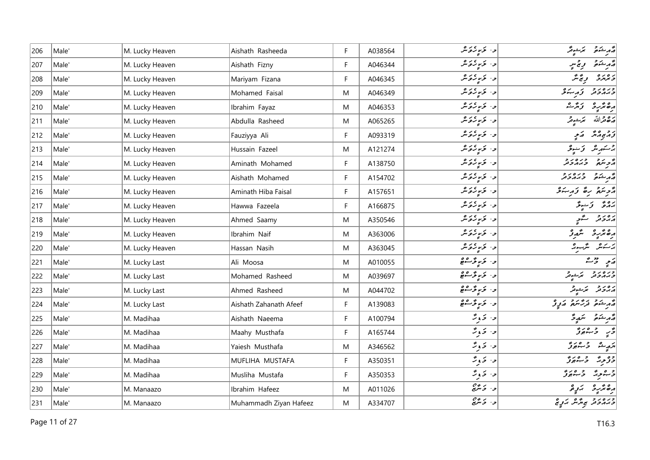| 206 | Male' | M. Lucky Heaven | Aishath Rasheeda       | F         | A038564 | <sub>د</sub> . ئۇرىئەد ئىگە  | و ديده تر شوند<br>د ديده تر شوند                       |
|-----|-------|-----------------|------------------------|-----------|---------|------------------------------|--------------------------------------------------------|
| 207 | Male' | M. Lucky Heaven | Aishath Fizny          | F         | A046344 | <sub>و</sub> . ئۇرىدىمىتىلىر | پھ مر شوی <sub>ر</sub><br>و چ مېر                      |
| 208 | Male' | M. Lucky Heaven | Mariyam Fizana         | F.        | A046345 | د· ئۇر <i>ىز ئۇ</i> نگر      | ر ه ر ه<br>  <del>ر</del> بربرو<br>د پچ مگر            |
| 209 | Male' | M. Lucky Heaven | Mohamed Faisal         | M         | A046349 | <sub>د</sub> . ئۇرىئەد ئىگە  | <i>د ر</i> ه ر د<br>  د بر پر تر تر<br>ى ئەرىب ئەنتى   |
| 210 | Male' | M. Lucky Heaven | Ibrahim Fayaz          | M         | A046353 | د· ئۇر <i>ىز ئەنگە</i>       | تر پژ شه<br>ىر ھەتتەر 2<br>ر                           |
| 211 | Male' | M. Lucky Heaven | Abdulla Rasheed        | M         | A065265 | د· ئۇرىمۇ ئەھ                | ەھەراللە<br>بخرشوقر                                    |
| 212 | Male' | M. Lucky Heaven | Fauziyya Ali           | F         | A093319 | د· ئۇر <i>ى</i> ر ئەرگە      | ز دی په په په                                          |
| 213 | Male' | M. Lucky Heaven | Hussain Fazeel         | ${\sf M}$ | A121274 | د· ئۇر <i>ىز ئە</i> ئىر      | چرىكىرىنى كەنبوقى                                      |
| 214 | Male' | M. Lucky Heaven | Aminath Mohamed        | F         | A138750 | و· ئۇر <i>ىرى ئە</i> ر       | و ده وره ده.                                           |
| 215 | Male' | M. Lucky Heaven | Aishath Mohamed        | F         | A154702 | د· ئۇرىرى ئەرگە              | ه دره دره در د                                         |
| 216 | Male' | M. Lucky Heaven | Aminath Hiba Faisal    | F.        | A157651 | <sub>د</sub> . ئۇرىئەد ئىگە  | أروسكم رة زرجنو                                        |
| 217 | Male' | M. Lucky Heaven | Hawwa Fazeela          | F         | A166875 | د· ئۇر <i>ىز ئەنگە</i>       | ر ه و<br>پروڅ<br>ۇ خىيۇ                                |
| 218 | Male' | M. Lucky Heaven | Ahmed Saamy            | M         | A350546 | د· ئۇرىمۇ ئەھ                | ړه رو گو                                               |
| 219 | Male' | M. Lucky Heaven | Ibrahim Naif           | M         | A363006 | د· ئۇر <i>بە</i> ر ئەر       | سڭە بۇ<br>ەرھ ئ <sup>ۆ</sup> ر ۋ                       |
| 220 | Male' | M. Lucky Heaven | Hassan Nasih           | M         | A363045 | د· ئۇر <i>بە</i> ر ئەر       | يزكتان الكريبار                                        |
| 221 | Male' | M. Lucky Last   | Ali Moosa              | ${\sf M}$ | A010055 | د· ئۇر <i>ۇش</i> قۇ          | $\begin{bmatrix} 2 & 2 & 2 \\ 2 & 2 & 2 \end{bmatrix}$ |
| 222 | Male' | M. Lucky Last   | Mohamed Rasheed        | M         | A039697 | و· ئۇر <sub>ى</sub> گەشق     | ورەر دېر<br>دېرمرد کرشونر                              |
| 223 | Male' | M. Lucky Last   | Ahmed Rasheed          | M         | A044702 | د . كرىپۇش ق                 | ر 2010 كرشونتر<br>  <i>د بر د برگ</i> شونتر            |
| 224 | Male' | M. Lucky Last   | Aishath Zahanath Afeef | F         | A139083 | والمخرج وهوالمقافيح          | و<br>مەر خىم ئۆرگىرى مۇر ئ                             |
| 225 | Male' | M. Madihaa      | Aishath Naeema         | F         | A100794 | د کور                        | م المستوفر المستمرة                                    |
| 226 | Male' | M. Madihaa      | Maahy Musthafa         | F         | A165744 | د کور                        |                                                        |
| 227 | Male' | M. Madihaa      | Yaiesh Musthafa        | M         | A346562 | والمحوش                      | أترريث وبالمجموز                                       |
| 228 | Male' | M. Madihaa      | MUFLIHA MUSTAFA        | F         | A350351 | والمحوش                      | د و پر پ <sup>ه</sup><br>د مەرد<br>ترىبىۋۇ             |
| 229 | Male' | M. Madihaa      | Musliha Mustafa        | F         | A350353 | دا ذَءِرٌ                    | وسنوبر<br>د ۱۵۷۵<br>تر <i>ښ</i> ېږو                    |
| 230 | Male' | M. Manaazo      | Ibrahim Hafeez         | M         | A011026 | و . وَسَمَع                  | رەپرىر بەر ۋ                                           |
| 231 | Male' | M. Manaazo      | Muhammadh Ziyan Hafeez | ${\sf M}$ | A334707 | و٠ وَسَرْمٍ                  | ورەرو پەرگە ئوپى                                       |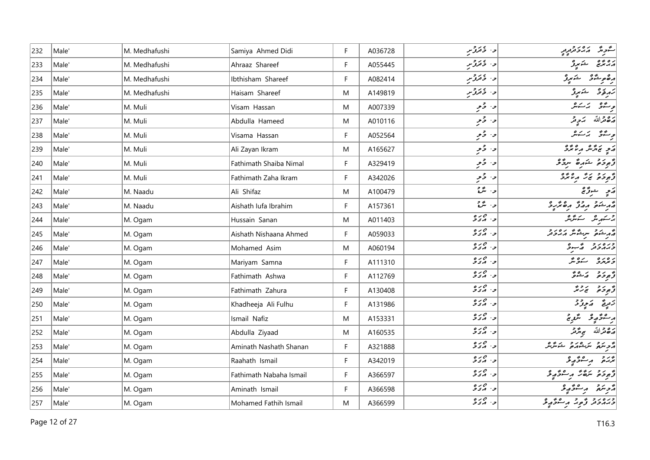| 232 | Male' | M. Medhafushi | Samiya Ahmed Didi       | F         | A036728 | <mark>و، ۇترۇ</mark> مبر      | گردگر م <i>یگردگرد</i> ر                  |
|-----|-------|---------------|-------------------------|-----------|---------|-------------------------------|-------------------------------------------|
| 233 | Male' | M. Medhafushi | Ahraaz Shareef          | F         | A055445 | <mark>و، ۇترۇ</mark> مبر      | 2222                                      |
| 234 | Male' | M. Medhafushi | Ibthisham Shareef       | F         | A082414 | <mark>و، ۇترۇ</mark> مر       | برھوشگ <sup>و</sup><br>ے پرو              |
| 235 | Male' | M. Medhafushi | Haisam Shareef          | M         | A149819 | <mark>وسى تەر</mark> جىر      | ڪ مور<br>ر<br>روژو                        |
| 236 | Male' | M. Muli       | Visam Hassan            | ${\sf M}$ | A007339 | د کو                          | وشى ئەسكىسى                               |
| 237 | Male' | M. Muli       | Abdulla Hameed          | M         | A010116 | د. دڅو                        | رەقمەللە ئەچەتر                           |
| 238 | Male' | M. Muli       | Visama Hassan           | F         | A052564 | د. دڅو                        | وسٹائی   پرسکس                            |
| 239 | Male' | M. Muli       | Ali Zayan Ikram         | ${\sf M}$ | A165627 | در قمو<br>ا <sup>ح:</sup> قمو | أرو بالمرمد ولا مرد                       |
| 240 | Male' | M. Muli       | Fathimath Shaiba Nimal  | F         | A329419 | د. دګو                        | قُرُوحَ شَرِيعٌ سِرْدَةٌ                  |
| 241 | Male' | M. Muli       | Fathimath Zaha Ikram    | F         | A342026 | د . وګو                       | و دو بر مره وه                            |
| 242 | Male' | M. Naadu      | Ali Shifaz              | M         | A100479 | و، سره                        | ړې د درگانو<br>د کار                      |
| 243 | Male' | M. Naadu      | Aishath lufa Ibrahim    | F         | A157361 | و . سرَّع                     | הובים גבר גסתים                           |
| 244 | Male' | M. Ogam       | Hussain Sanan           | ${\sf M}$ | A011403 | $550 - 5$                     | برڪريش ڪيڙيش                              |
| 245 | Male' | M. Ogam       | Aishath Nishaana Ahmed  | F         | A059033 | و· وګړه                       | د.<br>دگهر شکوه است شکس از برای تر        |
| 246 | Male' | M. Ogam       | Mohamed Asim            | M         | A060194 | $550 - 5$                     | ورەر دەسو                                 |
| 247 | Male' | M. Ogam       | Mariyam Samna           | F         | A111310 | $550 - 5$                     | سەۋىتر<br>ر ه ر ه<br><del>ر</del> بربر د  |
| 248 | Male' | M. Ogam       | Fathimath Ashwa         | F         | A112769 | 550.5                         | أزَّوِدَةَ أَرَشْقُ                       |
| 249 | Male' | M. Ogam       | Fathimath Zahura        | F         | A130408 | 550.5                         | $\frac{2}{3}$ $\frac{2}{3}$ $\frac{2}{3}$ |
| 250 | Male' | M. Ogam       | Khadheeja Ali Fulhu     | F         | A131986 | $550 - 5$                     | زَمْرِيحَ - مَا وَرْحْ                    |
| 251 | Male' | M. Ogam       | Ismail Nafiz            | M         | A153331 | $550 - 5$                     | ر شۇرچى سىرى                              |
| 252 | Male' | M. Ogam       | Abdulla Ziyaad          | ${\sf M}$ | A160535 | 550.5                         | رە دالله بىر دىر                          |
| 253 | Male' | M. Ogam       | Aminath Nashath Shanan  | F         | A321888 | $550 - 5$                     | و مرد مرشوره شمر                          |
| 254 | Male' | M. Ogam       | Raahath Ismail          | F         | A342019 | $550 - 5$                     | بررد وحدود                                |
| 255 | Male' | M. Ogam       | Fathimath Nabaha Ismail | F         | A366597 | و· مړيو                       | توجوج منقش مصر الموجد                     |
| 256 | Male' | M. Ogam       | Aminath Ismail          | F         | A366598 | 550.5                         | مُتَعِسَمَةَ مِسْتَوَمِيَّةَ              |
| 257 | Male' | M. Ogam       | Mohamed Fathih Ismail   | ${\sf M}$ | A366599 | $550 - 7$                     | ورەرو ژەپر مەشۇر ۋ                        |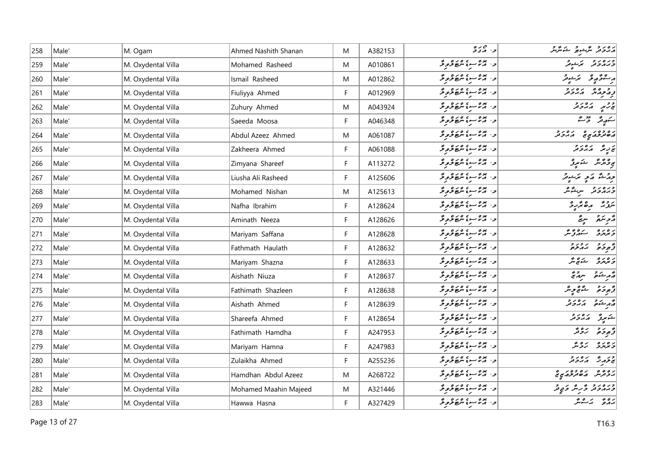| 258 | Male' | M. Ogam            | Ahmed Nashith Shanan  | M  | A382153 | د به ده                                                    | رەرو شەدە كەشھ                                                |
|-----|-------|--------------------|-----------------------|----|---------|------------------------------------------------------------|---------------------------------------------------------------|
| 259 | Male' | M. Oxydental Villa | Mohamed Rasheed       | M  | A010861 | د به مړينو ش <sub>ک</sub> څوړ ځه                           | دره در در بر در در محمد براسمبرد بر<br>  در بر در بر بر بر بر |
| 260 | Male' | M. Oxydental Villa | Ismail Rasheed        | M  | A012862 | د مړين <sub>سوء</sub> مرغ څوړ ځه                           | وكوم يمس                                                      |
| 261 | Male' | M. Oxydental Villa | Fiuliyya Ahmed        | F. | A012969 | د بره به ورو د گرد گر                                      | נה החיי הסגב                                                  |
| 262 | Male' | M. Oxydental Villa | Zuhury Ahmed          | M  | A043924 | د مړين <sub>سونځ</sub> مرغ څرمر څه                         |                                                               |
| 263 | Male' | M. Oxydental Villa | Saeeda Moosa          | F  | A046348 | د . مرد عبد عبد دورځه<br>د ام <sup>رد</sup> سره مروغ څرو ځ | سَر پر ژ ژ ش                                                  |
| 264 | Male' | M. Oxydental Villa | Abdul Azeez Ahmed     | M  | A061087 | د. مرد سوءِ مرور مرگز<br>مرد اسوءِ مرور مرگز               | גם כסגם הסגב<br> הסתי <i>כה <sub>ב</sub>י</i> ם ההכת          |
| 265 | Male' | M. Oxydental Villa | Zakheera Ahmed        | F  | A061088 | د مړين د عامود ځار د کا                                    | كانزيتر المركزور                                              |
| 266 | Male' | M. Oxydental Villa | Zimyana Shareef       | F  | A113272 | د مړين <sub>سوء</sub> مرغ څوړ څ                            | پروټرننگر ڪمبرو                                               |
| 267 | Male' | M. Oxydental Villa | Liusha Ali Rasheed    | F. | A125606 | د مړين <sub>سوء</sub> مرغ څوړ ځه                           | فرمائش كالمح المحراشيون                                       |
| 268 | Male' | M. Oxydental Villa | Mohamed Nishan        | M  | A125613 | د مره به ورو د گروگر                                       | و ر ه ر و<br>تر پر ژ تر<br>سرڪرشر                             |
| 269 | Male' | M. Oxydental Villa | Nafha Ibrahim         | F  | A128624 | د. مړه سوه مروغو ځه د                                      | يروم مقترره                                                   |
| 270 | Male' | M. Oxydental Villa | Aminath Neeza         | F  | A128626 | د مرد من ورو د گرد گر                                      | ړڅ پرېده<br>سرچ                                               |
| 271 | Male' | M. Oxydental Villa | Mariyam Saffana       | F  | A128628 | د. مرد سوءِ مرور مرگز<br>مرد اسوءِ مرور مرگز               | سەد ئۇ يىگە<br>ر ه ر ه                                        |
| 272 | Male' | M. Oxydental Villa | Fathmath Haulath      | F  | A128632 | د مړينې سروکو څر                                           | و ده برور د                                                   |
| 273 | Male' | M. Oxydental Villa | Mariyam Shazna        | F  | A128633 | ر. مړين <sub>سونا</sub> مرغ محرم مخه                       | ر ه ر ه<br><del>ر</del> بربرگ<br>ے کے سگر                     |
| 274 | Male' | M. Oxydental Villa | Aishath Niuza         | F  | A128637 | د به مړينو ش <sub>ک</sub> څوړ ځه                           | سردنج<br>ۇ مەسىئە ئە                                          |
| 275 | Male' | M. Oxydental Villa | Fathimath Shazleen    | F. | A128638 | د مرد موج موجود گر<br>د اړند موج موجود گر                  | ۔<br>ڪُنگوچونگر<br>و مر د<br>تر مور می                        |
| 276 | Male' | M. Oxydental Villa | Aishath Ahmed         | F  | A128639 | د بره به ورو د گرو د گر                                    | بر 2 ر ح<br>مربر <del>5</del> تر<br>و مر شده<br>م             |
| 277 | Male' | M. Oxydental Villa | Shareefa Ahmed        | F  | A128654 | <sub>ح</sub> . 7.م سوءٍ مربح فر <sub>م</sub> و محر         | شەموق<br>برورو                                                |
| 278 | Male' | M. Oxydental Villa | Fathimath Hamdha      | F  | A247953 | <sub>ح</sub> . 7°، سوءٍ مربوعٍ محرم محر                    | أوالمجمح والمحافر                                             |
| 279 | Male' | M. Oxydental Villa | Mariyam Hamna         | F  | A247983 | ر. براسو، مۇھۇھ <sub>ر</sub> ۇ                             | ر ه ر ه<br>د بربرگ<br>ر و پژ                                  |
| 280 | Male' | M. Oxydental Villa | Zulaikha Ahmed        | F. | A255236 | د بره به ورو د گرو د گر                                    | برورد<br>تح قرار جح                                           |
| 281 | Male' | M. Oxydental Villa | Hamdhan Abdul Azeez   | M  | A268722 | د بره به ورو د گرو د گر                                    | رە دە دە دەردە<br>پروترس مەھىر دەري                           |
| 282 | Male' | M. Oxydental Villa | Mohamed Maahin Majeed | M  | A321446 | د مړين <sub>سوء</sub> مرغ څوړ څ                            | ورەرو ۇرىگە كەبەتر                                            |
| 283 | Male' | M. Oxydental Villa | Hawwa Hasna           | F  | A327429 | <sub>ح</sub> . 7.م سوءٍ مربح فر <sub>م</sub> و گر          | برەپ برےپر                                                    |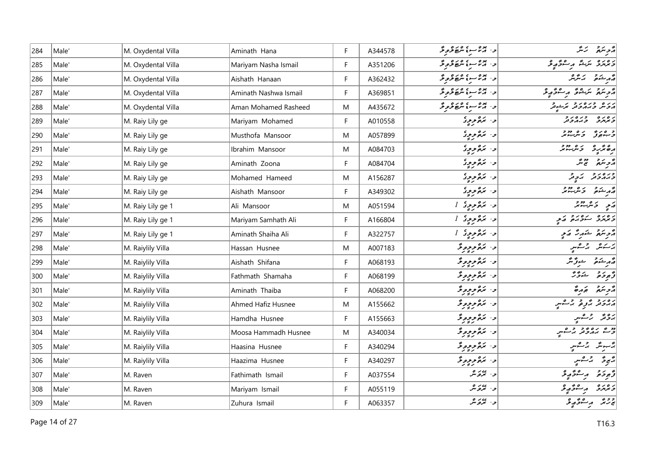| 284 | Male' | M. Oxydental Villa | Aminath Hana          | F         | A344578 | د به سره سره مرورو گر                    | أأروسه كالثر                                 |
|-----|-------|--------------------|-----------------------|-----------|---------|------------------------------------------|----------------------------------------------|
| 285 | Male' | M. Oxydental Villa | Mariyam Nasha Ismail  | F         | A351206 | د بره سره مرد و د گر                     | وبرمرو لرك بركوكرو                           |
| 286 | Male' | M. Oxydental Villa | Aishath Hanaan        | F         | A362432 | د· ج <sup>ە</sup> سر، مۇھۇھ <sub>ۇ</sub> | ە ئەستىقى ئەنگرىش                            |
| 287 | Male' | M. Oxydental Villa | Aminath Nashwa Ismail | F         | A369851 | د بره سره مرورو گر                       | أأدمر والمردوع المسترور والمحمد              |
| 288 | Male' | M. Oxydental Villa | Aman Mohamed Rasheed  | M         | A435672 | د به مړينه ش <sub>ک</sub> ورو څر         | ر ره د و ره رو .<br>پروس و په دونر نرشونر    |
| 289 | Male' | M. Raiy Lily ge    | Mariyam Mohamed       | F         | A010558 | د . بره د د د ،<br>ر                     | נסנס כנסנכ<br>כ <i>יצ</i> ו <i>נכ כג</i> וכנ |
| 290 | Male' | M. Raiy Lily ge    | Musthofa Mansoor      | M         | A057899 | و٠ برگوروره<br>د                         | و وره در ورود                                |
| 291 | Male' | M. Raiy Lily ge    | Ibrahim Mansoor       | ${\sf M}$ | A084703 | و٠ برگوروره<br>د                         | رەپرىرە بەرەپىر<br>بەھترىرە بەر              |
| 292 | Male' | M. Raiy Lily ge    | Aminath Zoona         | F         | A084704 | و· ئۇچ <sub>رىچو</sub> ي                 | أمر و دور                                    |
| 293 | Male' | M. Raiy Lily ge    | Mohamed Hameed        | M         | A156287 | - مەھم دىرى                              | وره دو برود                                  |
| 294 | Male' | M. Raiy Lily ge    | Aishath Mansoor       | F         | A349302 | —<br> و· بره و وړ                        | مەر ئەھرىسى ئەر                              |
| 295 | Male' | M. Raiy Lily ge 1  | Ali Mansoor           | M         | A051594 | د برگړو پوځ [                            | أتمرم والمردوح                               |
| 296 | Male' | M. Raiy Lily ge 1  | Mariyam Samhath Ali   | F         | A166804 | د برگړو دي ا                             | ره ده ده ده در                               |
| 297 | Male' | M. Raiy Lily ge 1  | Aminath Shaiha Ali    | F         | A322757 | د برگړو پوځ 1                            | أأترسكم المفرش أيامي                         |
| 298 | Male' | M. Raiylily Villa  | Hassan Husnee         | M         | A007183 | د· برُوْدِيدِهِ دُ                       | پرستمبر اپرسفیلین                            |
| 299 | Male' | M. Raiylily Villa  | Aishath Shifana       | F         | A068193 | و· ئۇۋىز بورۇ                            | ۇرمىشكە ھۆرگىر                               |
| 300 | Male' | M. Raiylily Villa  | Fathmath Shamaha      | F         | A068199 | و· ئۇھ <sub>ۇ</sub> ر بۇرۇ               | و محمد المستور                               |
| 301 | Male' | M. Raiylily Villa  | Aminath Thaiba        | F         | A068200 | د· ئۇۋدىرو ئى                            | أزجتكم بمرامة                                |
| 302 | Male' | M. Raiylily Villa  | Ahmed Hafiz Husnee    | M         | A155662 | - ئەۋرىرو ئە                             | رور د بروته رئيس                             |
| 303 | Male' | M. Raiylily Villa  | Hamdha Husnee         | F         | A155663 | د· برُوْدِيدِهِ دُ                       | پرونژ - ژے سر                                |
| 304 | Male' | M. Raiylily Villa  | Moosa Hammadh Husnee  | ${\sf M}$ | A340034 | د· ئۇۋرى <sub>چ</sub> ورگ                | ده ده ده د د عسر                             |
| 305 | Male' | M. Raiylily Villa  | Haasina Husnee        | F         | A340294 | د· ئۇۋىز <sub>چ</sub> وتۇ                | يزىبونىش برئىقىس                             |
| 306 | Male' | M. Raiylily Villa  | Haazima Husnee        | F         | A340297 | د· ئۇۋىزورگە                             | ېژى <sub>نى</sub> ئەسىسى ئىستىر              |
| 307 | Male' | M. Raven           | Fathimath Ismail      | F         | A037554 | و به عده هر                              | قهوجو مستؤمده                                |
| 308 | Male' | M. Raven           | Mariyam Ismail        | F         | A055119 | و· تیموکر                                | ر ه ر ه<br><del>و</del> بربرو<br>برىشۇپەيى   |
| 309 | Male' | M. Raven           | Zuhura Ismail         | F         | A063357 | و به عدد ه<br>و به محره مگر              | جرجو المسترحمون                              |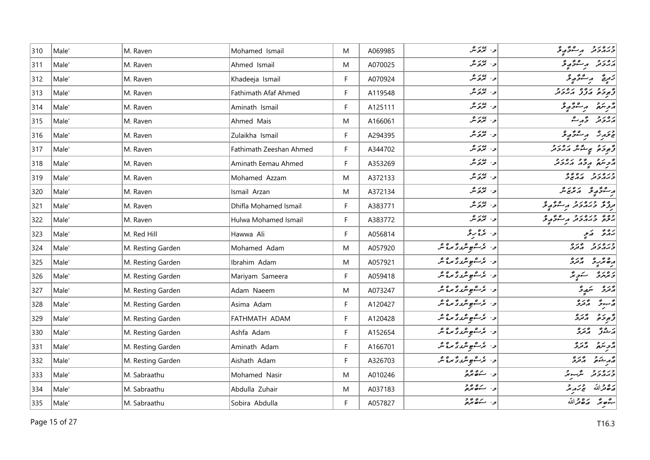| 310 | Male' | M. Raven          | Mohamed Ismail          | M  | A069985 | و· میمونٹر                     | ورەرو رەۋرو                                    |
|-----|-------|-------------------|-------------------------|----|---------|--------------------------------|------------------------------------------------|
| 311 | Male' | M. Raven          | Ahmed Ismail            | M  | A070025 | ر بھی تھ<br>ح• محر <b>ح</b> مگ | رەرە بەر ئەۋر                                  |
| 312 | Male' | M. Raven          | Khadeeja Ismail         | F  | A070924 | و به عدم مگر                   | كزمرة وسنتجوع                                  |
| 313 | Male' | M. Raven          | Fathimath Afaf Ahmed    | F  | A119548 | و . عدد ه<br>و . مرو ش         |                                                |
| 314 | Male' | M. Raven          | Aminath Ismail          | F  | A125111 | و به عدم مگر                   | ومجالبهم والمستحصي                             |
| 315 | Male' | M. Raven          | Ahmed Mais              | M  | A166061 | و به عدم مگر                   | رەرو ۋرے                                       |
| 316 | Male' | M. Raven          | Zulaikha Ismail         | F  | A294395 | ر به <i>پره</i> ش              | بجرخمر شاه وستوقيو والمحمد                     |
| 317 | Male' | M. Raven          | Fathimath Zeeshan Ahmed | F  | A344702 | و به عدم مگر                   | تزودة بإحثار مددد                              |
| 318 | Male' | M. Raven          | Aminath Eemau Ahmed     | F  | A353269 | و· بیور ه                      | הכתים הכה המכת                                 |
| 319 | Male' | M. Raven          | Mohamed Azzam           | M  | A372133 | ر بھی تھ<br>ح• محر <b>ح</b> مگ | כנסני נסשם<br>כגתכת התאב                       |
| 320 | Male' | M. Raven          | Ismail Arzan            | M  | A372134 | و به عدم مگر                   | مستوضع متعدة                                   |
| 321 | Male' | M. Raven          | Dhifla Mohamed Ismail   | F. | A383771 | و به عدد ه<br>و به مرو مگر     | ىرۇ ئەس مەدەبىر مەدەب ئى                       |
| 322 | Male' | M. Raven          | Hulwa Mohamed Ismail    | F  | A383772 | و· میوه هر                     | وه په دره د د مرغو په د                        |
| 323 | Male' | M. Red Hill       | Hawwa Ali               | F  | A056814 | ح <sup>،</sup> بروگرو          | بره په په په                                   |
| 324 | Male' | M. Resting Garden | Mohamed Adam            | M  | A057920 | و گرگوه هر گروه م              | ورەر د پرە<br><i>جد</i> ىرىتر ئىر <i>ى</i> ر   |
| 325 | Male' | M. Resting Garden | Ibrahim Adam            | M  | A057921 | و گرگوه شرکه می می مگر         | ەگەترى<br>ەر ھەتتەر 2<br>ر                     |
| 326 | Male' | M. Resting Garden | Mariyam Sameera         | F  | A059418 | و گرگوه هر د محمده مگر         | و مرد د کرد                                    |
| 327 | Male' | M. Resting Garden | Adam Naeem              | M  | A073247 | و گرگو جا سری کا مربع مگر      | په ره<br>د ترو<br>سمديحه                       |
| 328 | Male' | M. Resting Garden | Asima Adam              | F  | A120427 | و گرگوه شرکه می می مگر         | وَسِيرة<br>پور ہ<br>مرکز ژ                     |
| 329 | Male' | M. Resting Garden | FATHMATH ADAM           | F  | A120428 | و. بر سوم سر د کام د مر        | وٌمورَم<br>پور ہ<br>مرتزو                      |
| 330 | Male' | M. Resting Garden | Ashfa Adam              | F  | A152654 | والمركبوه ومحدد محمده مر       | ىزىشە تۇ<br>پور ہ<br>مرکزو                     |
| 331 | Male' | M. Resting Garden | Aminath Adam            | F  | A166701 | و بر سوم شروع می ش             | و سره و دره                                    |
| 332 | Male' | M. Resting Garden | Aishath Adam            | F  | A326703 | و گرگوه هر گروه م              | وكرمشكم وكرو                                   |
| 333 | Male' | M. Sabraathu      | Mohamed Nasir           | M  | A010246 | و، سەھ برە                     | ورەر دە شەرد<br><i>دىد</i> ەردى <sub>س</sub> ش |
| 334 | Male' | M. Sabraathu      | Abdulla Zuhair          | M  | A037183 | و . ستره پرو                   | ەھىراللە<br>ح تر <sub>مر</sub> حر              |
| 335 | Male' | M. Sabraathu      | Sobira Abdulla          | F  | A057827 | و . ستم پوه<br>و . ستم پوه     | بجمع كانقاط                                    |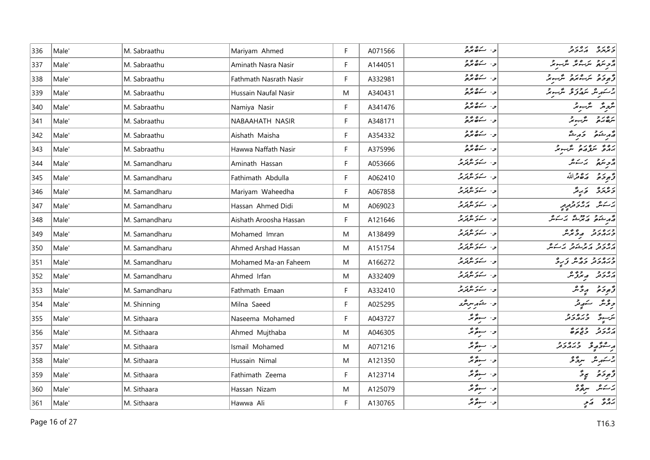| 336 | Male' | M. Sabraathu  | Mariyam Ahmed          | F | A071566 | و، سەھ بۇ د       | נפנס נפנד                                   |
|-----|-------|---------------|------------------------|---|---------|-------------------|---------------------------------------------|
| 337 | Male' | M. Sabraathu  | Aminath Nasra Nasir    | F | A144051 | و . شوه پوه       | أأوسكم الكرجائر الكرجاني                    |
| 338 | Male' | M. Sabraathu  | Fathmath Nasrath Nasir | F | A332981 | و، سەھ برە        | توجوخا الرسولان الرسولا                     |
| 339 | Male' | M. Sabraathu  | Hussain Naufal Nasir   | M | A340431 | و . ستم پیرو      | رحمر شمر المتعادي المستور                   |
| 340 | Male' | M. Sabraathu  | Namiya Nasir           | F | A341476 | و، سەھ برە        | للركر مراكبه المراكب                        |
| 341 | Male' | M. Sabraathu  | NABAAHATH NASIR        | F | A348171 | و . ستره پرو      | ىرەرد شەرد                                  |
| 342 | Male' | M. Sabraathu  | Aishath Maisha         | F | A354332 | و، سەھ بۇ د       | ورشكو كرمة                                  |
| 343 | Male' | M. Sabraathu  | Hawwa Naffath Nasir    | F | A375996 | و . شوه پوه       | رە بەر دەر بەر                              |
| 344 | Male' | M. Samandharu | Aminath Hassan         | F | A053666 | و . ستوکرونو پر   | مەدىسى ئەسكىر                               |
| 345 | Male' | M. Samandharu | Fathimath Abdulla      | F | A062410 | و . ستوترونو و    | قرموحة وكالحدالله                           |
| 346 | Male' | M. Samandharu | Mariyam Waheedha       | F | A067858 | و . ستوتكويز      | رەرە كەيتر                                  |
| 347 | Male' | M. Samandharu | Hassan Ahmed Didi      | M | A069023 | ە ، سەۋىكرىمى     | ىز سەش ھەرى تەرىپەر<br>مەسىر                |
| 348 | Male' | M. Samandharu | Aishath Aroosha Hassan | F | A121646 | ە ، سەۋش بەر ق    |                                             |
| 349 | Male' | M. Samandharu | Mohamed Imran          | M | A138499 | و. سکوکلولونونو   | ورەرو مەمەر                                 |
| 350 | Male' | M. Samandharu | Ahmed Arshad Hassan    | M | A151754 | و . سەۋشرىر       | رەرد رورد تەركىب                            |
| 351 | Male' | M. Samandharu | Mohamed Ma-an Faheem   | M | A166272 | و . ستوترونو و    | ورەرو روما تەرە                             |
| 352 | Male' | M. Samandharu | Ahmed Irfan            | M | A332409 | و. سەۋش بۇ بۇ     | أرور و وقرير                                |
| 353 | Male' | M. Samandharu | Fathmath Emaan         | F | A332410 | و. سەۋسىمەترىتى   | وتموختم برقش                                |
| 354 | Male' | M. Shinning   | Milna Saeed            | F | A025295 | و- ڪمرسرس         | دوعش سنهيقر                                 |
| 355 | Male' | M. Sithaara   | Naseema Mohamed        | F | A043727 | د . سوه پژ        | و ره ر و<br><i>و ټ</i> رونر<br>ىئەسىزى<br>ئ |
| 356 | Male' | M. Sithaara   | Ahmed Mujthaba         | M | A046305 | د . سوه نگر       | נ סניכן כסניבי<br>הגבע בביקים               |
| 357 | Male' | M. Sithaara   | Ismail Mohamed         | M | A071216 | د . سوه نگر       | بر عرصي وبرورو                              |
| 358 | Male' | M. Sithaara   | Hussain Nimal          | M | A121350 | و . سعونمر        | 2 سەر شەھ بىردىگە                           |
| 359 | Male' | M. Sithaara   | Fathimath Zeema        | F | A123714 | او، سوهيمه<br>است | ۇ بور د<br>سم پر<br>م                       |
| 360 | Male' | M. Sithaara   | Hassan Nizam           | M | A125079 | د . سوځ تر        | ىر ئەنگە<br>مەنگەنلەر<br>سرچوڅ              |
| 361 | Male' | M. Sithaara   | Hawwa Ali              | F | A130765 | د . سوه تر<br>ر   | پره څه په تو                                |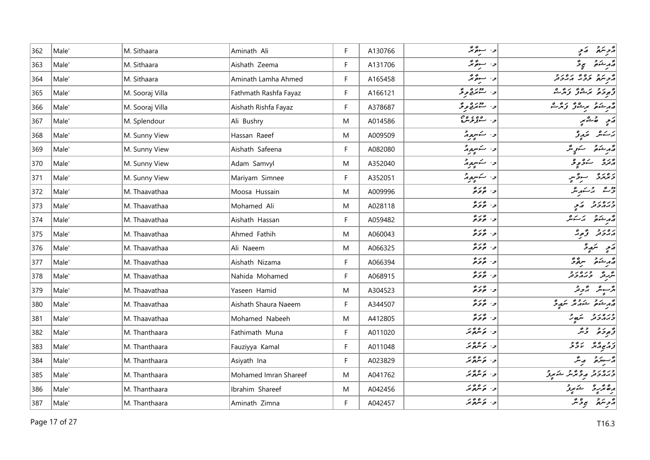| 362 | Male' | M. Sithaara     | Aminath Ali           | F           | A130766 | د . سو <i>نو</i> نگر<br>م | أأدمرهم<br>ەنىپە                                  |
|-----|-------|-----------------|-----------------------|-------------|---------|---------------------------|---------------------------------------------------|
| 363 | Male' | M. Sithaara     | Aishath Zeema         | F           | A131706 | و. سوه پژ                 | ۇرشۇ پۇ                                           |
| 364 | Male' | M. Sithaara     | Aminath Lamha Ahmed   | $\mathsf F$ | A165458 | والسواديم                 | ر در دره و ده در در د                             |
| 365 | Male' | M. Sooraj Villa | Fathmath Rashfa Fayaz | F           | A166121 | ر دوره و د گر             | ۋۈدۈ ئەشۇ زۇپ                                     |
| 366 | Male' | M. Sooraj Villa | Aishath Rishfa Fayaz  | $\mathsf F$ | A378687 | و. ستعرفے و مح            | ە ئەر ئىكەن ئەر ئىشرىش ئۆزگەن.<br>مەر             |
| 367 | Male' | M. Splendour    | Ali Bushry            | M           | A014586 | د . سود در م              |                                                   |
| 368 | Male' | M. Sunny View   | Hassan Raeef          | M           | A009509 | د . سکس و د               | يزخل بمدوق                                        |
| 369 | Male' | M. Sunny View   | Aishath Safeena       | $\mathsf F$ | A082080 | و، سکسرور                 | د مرشور من کو مگر<br>مرگز مسکو مگر مگر            |
| 370 | Male' | M. Sunny View   | Adam Samvyl           | M           | A352040 | و شهره د                  | وره خوړ و                                         |
| 371 | Male' | M. Sunny View   | Mariyam Simnee        | $\mathsf F$ | A352051 | د . سکسره د               | במחבר הפית                                        |
| 372 | Male' | M. Thaavathaa   | Moosa Hussain         | M           | A009996 | والمحمرة                  | رحمد جرستمبر مثر                                  |
| 373 | Male' | M. Thaavathaa   | Mohamed Ali           | M           | A028118 | و په مونو                 | ورەرو كې                                          |
| 374 | Male' | M. Thaavathaa   | Aishath Hassan        | $\mathsf F$ | A059482 | و په نومو                 | ۇرىشقى ئەسكەش                                     |
| 375 | Male' | M. Thaavathaa   | Ahmed Fathih          | M           | A060043 | و· ءُوءُ                  | برەر بە ئۇم ب                                     |
| 376 | Male' | M. Thaavathaa   | Ali Naeem             | M           | A066325 | و· ءُوءُ                  | أأوالمجمع المتمردة                                |
| 377 | Male' | M. Thaavathaa   | Aishath Nizama        | F           | A066394 | و . نوگونو<br>و . نوگونو  |                                                   |
| 378 | Male' | M. Thaavathaa   | Nahida Mohamed        | $\mathsf F$ | A068915 | و په نومو                 | ىترىرىتر<br>و ر ه ر و<br>تر پر ژ تر               |
| 379 | Male' | M. Thaavathaa   | Yaseen Hamid          | M           | A304523 | و په نومو                 | ېژىپ بىر ئ <sub>ىر قى</sub> ر                     |
| 380 | Male' | M. Thaavathaa   | Aishath Shaura Naeem  | F           | A344507 | و په مونو                 | مەر شىم شىرىم سىر 3                               |
| 381 | Male' | M. Thaavathaa   | Mohamed Nabeeh        | M           | A412805 | و په نومو                 | בגםגב תפיל                                        |
| 382 | Male' | M. Thanthaara   | Fathimath Muna        | $\mathsf F$ | A011020 | ر ، ئۇسجەتمە              | وٌجودَ حَمَدٌ                                     |
| 383 | Male' | M. Thanthaara   | Fauziyya Kamal        | F           | A011048 | د . ئوشۇنم                | נג <sub>ו</sub> פי ניבר<br>נג <sub>ו</sub> אה עבב |
| 384 | Male' | M. Thanthaara   | Asiyath Ina           | F           | A023829 | و. ئۇسجەتمە               | و سوره و مر                                       |
| 385 | Male' | M. Thanthaara   | Mohamed Imran Shareef | M           | A041762 | ر به ده در                | ورەرو مەدكەر خىرو                                 |
| 386 | Male' | M. Thanthaara   | Ibrahim Shareef       | M           | A042456 | و، ئۇسجەتمە               | رەترىر شىرز                                       |
| 387 | Male' | M. Thanthaara   | Aminath Zimna         | $\mathsf F$ | A042457 | ر ، ئۇسىمەتكە             | أأرمنغ بيوثار                                     |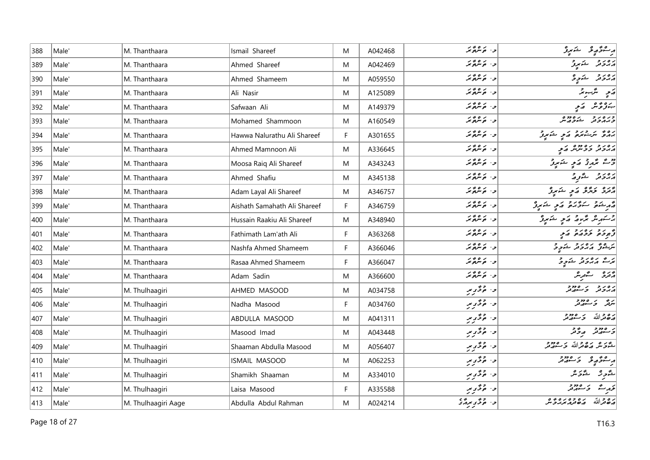| 388 | Male' | M. Thanthaara       | Ismail Shareef               | M         | A042468 | ر ، ئەھەتمە                         | أراشتر المتوفي المستوري                                                                                                                          |
|-----|-------|---------------------|------------------------------|-----------|---------|-------------------------------------|--------------------------------------------------------------------------------------------------------------------------------------------------|
| 389 | Male' | M. Thanthaara       | Ahmed Shareef                | ${\sf M}$ | A042469 | ر د ه ور                            | رەرو خىرۇ                                                                                                                                        |
| 390 | Male' | M. Thanthaara       | Ahmed Shameem                | M         | A059550 | ر ه د وړ                            | رەرد خەرە                                                                                                                                        |
| 391 | Male' | M. Thanthaara       | Ali Nasir                    | M         | A125089 | و، ئۇشھۇتتر                         | ەكىيە سىگە يىتى                                                                                                                                  |
| 392 | Male' | M. Thanthaara       | Safwaan Ali                  | M         | A149379 | و، ئۇسىمىگە                         | پەۋەتتە كەيپ                                                                                                                                     |
| 393 | Male' | M. Thanthaara       | Mohamed Shammoon             | M         | A160549 | د . ئوسرې تر                        | ورەرو دەھەر<br><i>دىد</i> ەردىر شەرەپ                                                                                                            |
| 394 | Male' | M. Thanthaara       | Hawwa Nalurathu Ali Shareef  | F         | A301655 | د . ئۇشھۇتتە                        | رەپ ئەستەتكەر كەي ئىككىرى                                                                                                                        |
| 395 | Male' | M. Thanthaara       | Ahmed Mamnoon Ali            | M         | A336645 | ر ، موسیح تر                        | ر ور د د دوه کرد                                                                                                                                 |
| 396 | Male' | M. Thanthaara       | Moosa Raiq Ali Shareef       | M         | A343243 | ر ، ئەھەتر                          | ر ما المرور المراكب المستمران.<br>المراكب المراكب المستمر المستمر المراكب المراكب المراكب المراكب المراكب المراكب المراكب المراكب المراكب المراك |
| 397 | Male' | M. Thanthaara       | Ahmed Shafiu                 | ${\sf M}$ | A345138 | ر ، ئەھەتر                          | رەرو شۇرۇ                                                                                                                                        |
| 398 | Male' | M. Thanthaara       | Adam Layal Ali Shareef       | M         | A346757 | ر ، ئەھەم                           | دره روه کرد شهره<br>مدرد ترمرش مکمی شهره                                                                                                         |
| 399 | Male' | M. Thanthaara       | Aishath Samahath Ali Shareef | F         | A346759 | ر ، موسیح تر                        | أوريثه بالمؤثرة أركم يتمرش                                                                                                                       |
| 400 | Male' | M. Thanthaara       | Hussain Raakiu Ali Shareef   | M         | A348940 | ر ه د وړ                            |                                                                                                                                                  |
| 401 | Male' | M. Thanthaara       | Fathimath Lam'ath Ali        | F         | A363268 | د . ئۇ ئىزىم                        | و دو ده ده د د                                                                                                                                   |
| 402 | Male' | M. Thanthaara       | Nashfa Ahmed Shameem         | F         | A366046 | ر ، ئەھەم                           | بروه رور و شرور                                                                                                                                  |
| 403 | Male' | M. Thanthaara       | Rasaa Ahmed Shameem          | F         | A366047 | ر ، موسیح تر                        | بر مسلم بره در مسکور د                                                                                                                           |
| 404 | Male' | M. Thanthaara       | Adam Sadin                   | M         | A366600 | ر ه د وړ                            | أثر ترو ستحرش                                                                                                                                    |
| 405 | Male' | M. Thulhaagiri      | AHMED MASOOD                 | M         | A034758 | -<br> و· مومگویر                    | נים כדי פרביב<br>הגבת בעיהית                                                                                                                     |
| 406 | Male' | M. Thulhaagiri      | Nadha Masood                 | F         | A034760 | —<br> ح• حوظ <sub>مر مر</sub>       | سرقر كرك ودوح                                                                                                                                    |
| 407 | Male' | M. Thulhaagiri      | ABDULLA MASOOD               | M         | A041311 | اچ، خونگی مو<br>اچ، خونگی میں       | رە دالله كەمدىر                                                                                                                                  |
| 408 | Male' | M. Thulhaagiri      | Masood Imad                  | M         | A043448 | ——<br>  ۶۰ ه تمکی مر<br>  ۱۰۰۰ مربع | ן פרכב ביב                                                                                                                                       |
| 409 | Male' | M. Thulhaagiri      | Shaaman Abdulla Masood       | M         | A056407 | —<br>اح• حوظی میر                   | محره ره والله كرم معدد                                                                                                                           |
| 410 | Male' | M. Thulhaagiri      | ISMAIL MASOOD                | M         | A062253 | —<br> حسیقی میں<br> حسینی میں       | أرجع وهو التحريب                                                                                                                                 |
| 411 | Male' | M. Thulhaagiri      | Shamikh Shaaman              | ${\sf M}$ | A334010 | —<br>اح• حوظی مرمر<br>ا             | لحدود الحدوشر                                                                                                                                    |
| 412 | Male' | M. Thulhaagiri      | Laisa Masood                 | F         | A335588 | –<br>ح• مومگو مر                    | خەرشە خەسىرە                                                                                                                                     |
| 413 | Male' | M. Thulhaagiri Aage | Abdulla Abdul Rahman         | M         | A024214 | و په مور په په<br>و ۱۰ هوندو موړنو  | ر ه و ه ر ه ر ه و<br>پره تر بر بر تر س<br>برە تراللە                                                                                             |
|     |       |                     |                              |           |         |                                     |                                                                                                                                                  |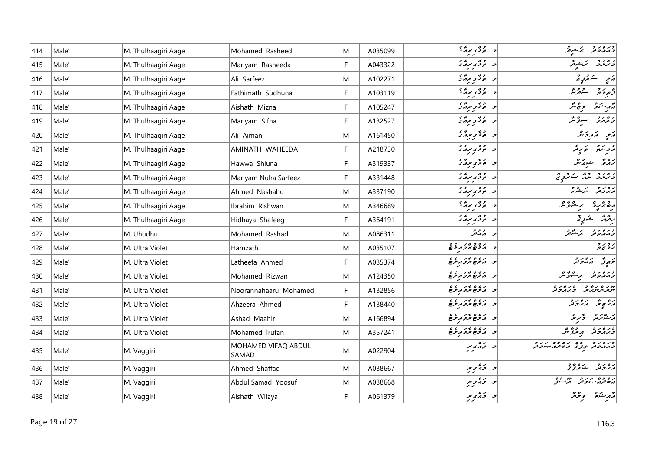| 414 | Male' | M. Thulhaagiri Aage | Mohamed Rasheed              | M  | A035099 | و . هو د برو .<br>- هو د برو .                                                                                                                                                                                                   | و رە ر د<br><i>د بر</i> گرىز<br>بمرشوقر             |
|-----|-------|---------------------|------------------------------|----|---------|----------------------------------------------------------------------------------------------------------------------------------------------------------------------------------------------------------------------------------|-----------------------------------------------------|
| 415 | Male' | M. Thulhaagiri Aage | Mariyam Rasheeda             | F  | A043322 | 59.25000                                                                                                                                                                                                                         | ر ه ر ه<br>د بربر د<br>ىمەسىسى قىگر                 |
| 416 | Male' | M. Thulhaagiri Aage | Ali Sarfeez                  | M  | A102271 | و . هو د پورې<br>و . هو د پورې                                                                                                                                                                                                   | أەسم سىكە ئەرەبى                                    |
| 417 | Male' | M. Thulhaagiri Aage | Fathimath Sudhuna            | F  | A103119 | $\frac{c_2}{c_1}$ $\frac{c_3}{c_2}$ $\frac{c_4}{c_3}$                                                                                                                                                                            | سىقرىتر<br>ۇ ب <sub>و</sub> ر د                     |
| 418 | Male' | M. Thulhaagiri Aage | Aishath Mizna                | F  | A105247 | و په وي <sub>مرکز</sub> ي<br>و په ونگي مرکز                                                                                                                                                                                      | ۇرىشقۇ جەمگە                                        |
| 419 | Male' | M. Thulhaagiri Aage | Mariyam Sifna                | F  | A132527 | $\frac{1}{2}$                                                                                                                                                                                                                    | ر ه ر ه<br><del>د</del> بربر د<br>سەۋىتر            |
| 420 | Male' | M. Thulhaagiri Aage | Ali Aiman                    | M  | A161450 |                                                                                                                                                                                                                                  | أميم مأمر حاشر                                      |
| 421 | Male' | M. Thulhaagiri Aage | AMINATH WAHEEDA              | F  | A218730 | و په همدې<br>و همونۍ مردگ                                                                                                                                                                                                        | ېژ <sub>ىر سرچ</sub><br>ءَ ٻرِ تَرُ                 |
| 422 | Male' | M. Thulhaagiri Aage | Hawwa Shiuna                 | F  | A319337 | و د هو د بروي.<br>و ۱۰ هو د بروري                                                                                                                                                                                                | رەپ <sub>ە</sub><br>بەرى خوشگر                      |
| 423 | Male' | M. Thulhaagiri Aage | Mariyam Nuha Sarfeez         | F  | A331448 | والمحتج بروي                                                                                                                                                                                                                     | دەرە دە ئىر                                         |
| 424 | Male' | M. Thulhaagiri Aage | Ahmed Nashahu                | M  | A337190 | و په وي <sub>موړي</sub><br>و په ونکي موړي                                                                                                                                                                                        | رەر پەيدۇر                                          |
| 425 | Male' | M. Thulhaagiri Aage | Ibrahim Rishwan              | M  | A346689 | כו ויי יודע ביו יודע ביו יודע ביו יודע ביו יודע ביו יודע ביו יודע ביו יודע ביו יודע ביו יודע ביו יודע ביו יודע<br>קייר ביו יודע ביו יודע ביו יודע ביו יודע ביו יודע ביו יודע ביו יודע ביו יודע ביו יודע ביו יודע ביו יודע ביו יו | رەنزىر برىشۇش                                       |
| 426 | Male' | M. Thulhaagiri Aage | Hidhaya Shafeeq              | F. | A364191 | و په همونه کېږي.<br>د ۱۰ هرمنې مرمري                                                                                                                                                                                             | رِ قَرْمَرٌ شَوَرٍ تَحْ                             |
| 427 | Male' | M. Uhudhu           | Mohamed Rashad               | M  | A086311 | و . ه برگو                                                                                                                                                                                                                       | ورەرو كەشگە<br><i>جەم</i> ەدىر كەشگەر               |
| 428 | Male' | M. Ultra Violet     | Hamzath                      | M  | A035107 | و بروه در ده                                                                                                                                                                                                                     | بروبرد                                              |
| 429 | Male' | M. Ultra Violet     | Latheefa Ahmed               | F  | A035374 | و بروه در ده                                                                                                                                                                                                                     | تزېږۇ كەردىر                                        |
| 430 | Male' | M. Ultra Violet     | Mohamed Rizwan               | M  | A124350 | כי הצפי <i>ת פרי</i> ציפ                                                                                                                                                                                                         | ورەرو برەپەە<br><i>جەم</i> ەدىر برىشوشر             |
| 431 | Male' | M. Ultra Violet     | Noorannahaaru Mohamed        | F. | A132856 | و بروه در ده                                                                                                                                                                                                                     | חנים נימיד - דנים ניד<br>ייתוניית ומניית - דיגונדיק |
| 432 | Male' | M. Ultra Violet     | Ahzeera Ahmed                | F  | A138440 | رە ە <i>ئەرە</i><br>تەركىۋى <i>ترە بە</i> رىج                                                                                                                                                                                    | برورد<br>ەرمىيەتىر                                  |
| 433 | Male' | M. Ultra Violet     | Ashad Maahir                 | M  | A166894 | כי הצפי <i>ת פרי</i> ציפ                                                                                                                                                                                                         | كالمشركاني ومحارثه                                  |
| 434 | Male' | M. Ultra Violet     | Mohamed Irufan               | M  | A357241 | כי הכפילקי 20<br>כי הכפילקולפ                                                                                                                                                                                                    | ورەرو بەيدۇر                                        |
| 435 | Male' | M. Vaggiri          | MOHAMED VIFAQ ABDUL<br>SAMAD | M  | A022904 | —<br> ح• ځه ترمير                                                                                                                                                                                                                | وره رو دره دره در در و<br>حدماوتر وژگی مان دم       |
| 436 | Male' | M. Vaggiri          | Ahmed Shaffaq                | M  | A038667 | —<br>اح• حَمدٌ <sub>مح</sub> مدٍ                                                                                                                                                                                                 | رەرد شەھ دى<br>مەرىر شەم                            |
| 437 | Male' | M. Vaggiri          | Abdul Samad Yoosuf           | M  | A038668 | ا تره<br>۱ د ۱۰ کارۍ مر                                                                                                                                                                                                          | נסכם נגב בבס<br>השינה היכינ תיינ                    |
| 438 | Male' | M. Vaggiri          | Aishath Wilaya               | F. | A061379 | ا چې کمه دې موسيقي<br>دا سر کامو کو کړې                                                                                                                                                                                          | وكرماشكم وقراكر                                     |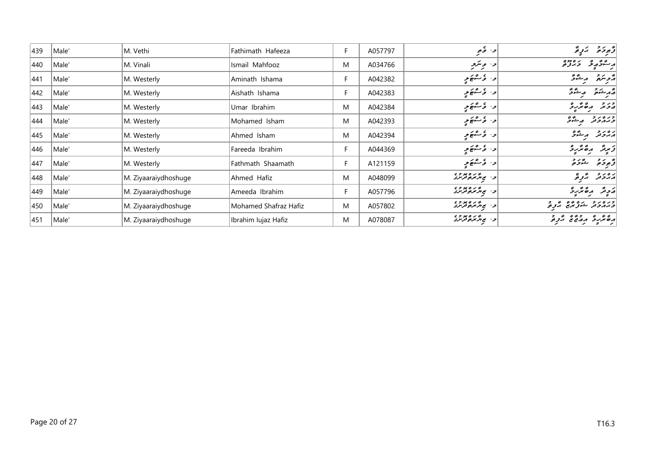| 439           | Male' | M. Vethi             | Fathimath Hafeeza     | F. | A057797 | ح قومي                                       | ا تو پر تر د<br>برَوِةٌ                                |
|---------------|-------|----------------------|-----------------------|----|---------|----------------------------------------------|--------------------------------------------------------|
| $ 440\rangle$ | Male' | M. Vinali            | Ismail Mahfooz        | M  | A034766 | وسو مترمج                                    | لەر شۇرچ<br>ر ه دده<br>تر بر تو ځو                     |
| 441           | Male' | M. Westerly          | Aminath Ishama        | F. | A042382 | وسي مصطح مج                                  | اثر حر سر حر<br>ەرشەتى                                 |
| 442           | Male' | M. Westerly          | Aishath Ishama        | F  | A042383 | وستحريب وكالمحالج                            | مەرشىمى مەشكى                                          |
| $ 443\rangle$ | Male' | M. Westerly          | Umar Ibrahim          | M  | A042384 | وستحريب وكالمحاضر                            | و ر و<br>در کر<br>دەىزرۇ                               |
| 444           | Male' | M. Westerly          | Mohamed Isham         | M  | A042393 | وسؤ شكايحو                                   | و بر و د و<br>ەرشىۋ                                    |
| 445           | Male' | M. Westerly          | Ahmed Isham           | M  | A042394 | و· ۇشقۇم                                     | پر 9 پر 3<br>ەرىشىمى                                   |
| 446           | Male' | M. Westerly          | Fareeda Ibrahim       | F  | A044369 | د ۰ ځو شقومو                                 | ترىرىگە مەھەرد                                         |
| 447           | Male' | M. Westerly          | Fathmath Shaamath     | F. | A121159 | <sub>ا</sub> ح کا حکاظ پی                    | و مر د<br>گ<br>شەد ۋ                                   |
| 448           | Male' | M. Ziyaaraiydhoshuge | Ahmed Hafiz           | M  | A048099 | و . ه د ه د و د و د<br>و . ه ه مرمرو ترس     | پر بر تر<br>برگونج                                     |
| 449           | Male' | M. Ziyaaraiydhoshuge | Ameeda Ibrahim        | F  | A057796 | و . ه د ه د و د و د<br>و . ه ه مرمرو ترس     | مَرِمَّد مِعْمَدِهِ                                    |
| 450           | Male' | M. Ziyaaraiydhoshuge | Mohamed Shafraz Hafiz | M  | A057802 | و ۰ مخ دگر می د و c<br> و ۰ مخ دگر موجود مور | دره رو دره ده ه د و د<br>  دبر رو تر د شور برگ برگر فر |
| 451           | Male' | M. Ziyaaraiydhoshuge | Ibrahim lujaz Hafiz   | M  | A078087 | و . ه د ه د و د .<br>و . ه ه گرمره ترس       | دە ئەرە دەن ئەر                                        |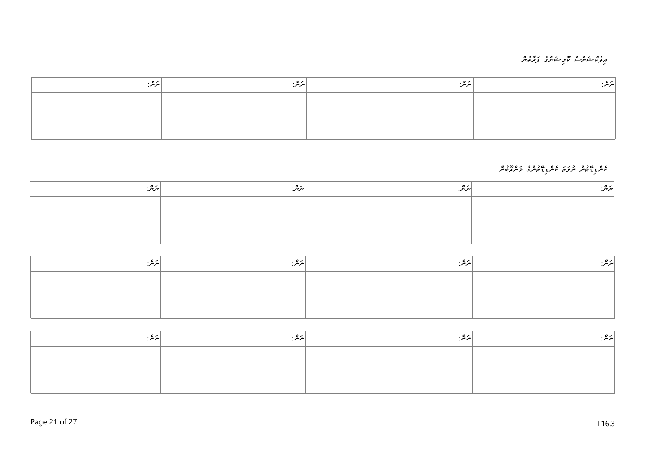## *w7qAn8m? sCw7mRo>u; wEw7mRw;sBo<*

| ' مرمر | 'يئرىثر: |
|--------|----------|
|        |          |
|        |          |
|        |          |

## *w7q9r@w7m> sCw7qHtFoFw7s; mAm=q7 w7qHtFoFw7s;*

| ىر تە | $\mathcal{O} \times$<br>$\sim$ | $\sim$<br>. . | لترنثر |
|-------|--------------------------------|---------------|--------|
|       |                                |               |        |
|       |                                |               |        |
|       |                                |               |        |

| $\frac{2}{n}$ | $\overline{\phantom{a}}$ | اير هنه. | $\mathcal{O} \times$<br>سرسر |
|---------------|--------------------------|----------|------------------------------|
|               |                          |          |                              |
|               |                          |          |                              |
|               |                          |          |                              |

| ' ئىرتىر: | سر سر |  |
|-----------|-------|--|
|           |       |  |
|           |       |  |
|           |       |  |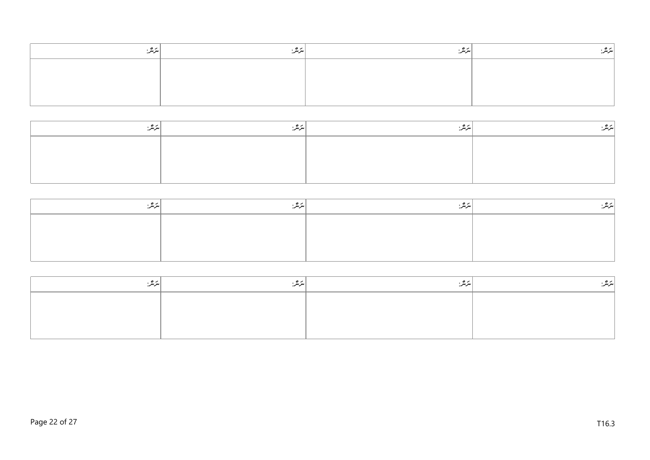| يزهر | $^{\circ}$ | ىئرىتر: |  |
|------|------------|---------|--|
|      |            |         |  |
|      |            |         |  |
|      |            |         |  |

| <sup>.</sup> سرسر. |  |
|--------------------|--|
|                    |  |
|                    |  |
|                    |  |

| ىرتىر: | $\sim$ | ا بر هه. | لىرىش |
|--------|--------|----------|-------|
|        |        |          |       |
|        |        |          |       |
|        |        |          |       |

| 。<br>مرس. | $\overline{\phantom{a}}$<br>مر سر | يتريثر |
|-----------|-----------------------------------|--------|
|           |                                   |        |
|           |                                   |        |
|           |                                   |        |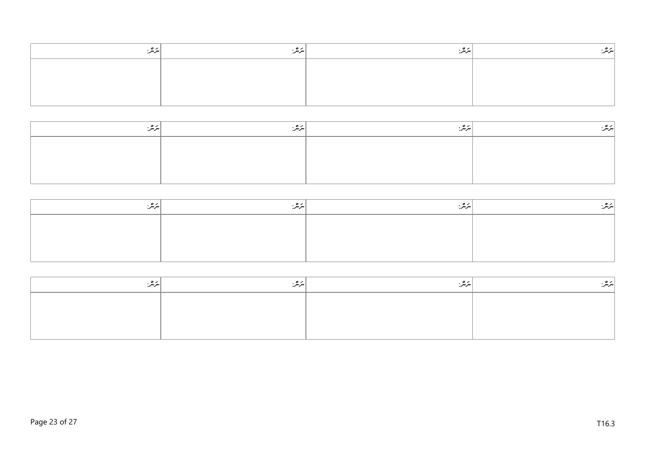| ير هو . | $\overline{\phantom{a}}$ | يرمر | اير هنه. |
|---------|--------------------------|------|----------|
|         |                          |      |          |
|         |                          |      |          |
|         |                          |      |          |

| ىر تىر: | $\circ$ $\sim$<br>" سرسر . | يترمير | o . |
|---------|----------------------------|--------|-----|
|         |                            |        |     |
|         |                            |        |     |
|         |                            |        |     |

| انترنثر: | ر ه |  |
|----------|-----|--|
|          |     |  |
|          |     |  |
|          |     |  |

|  | . ه |
|--|-----|
|  |     |
|  |     |
|  |     |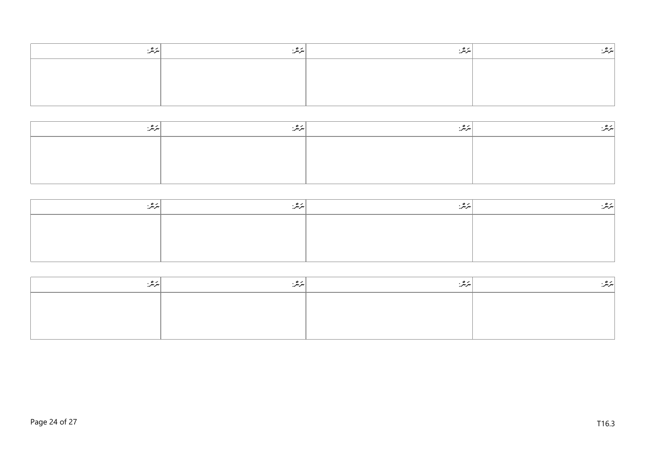| ير هو . | $\overline{\phantom{a}}$ | يرمر | اير هنه. |
|---------|--------------------------|------|----------|
|         |                          |      |          |
|         |                          |      |          |
|         |                          |      |          |

| ئىرتىر: | $\sim$<br>ا سرسر . | يئرمثر | o . |
|---------|--------------------|--------|-----|
|         |                    |        |     |
|         |                    |        |     |
|         |                    |        |     |

| 'تترنثر: | 。<br>,,,, |  |
|----------|-----------|--|
|          |           |  |
|          |           |  |
|          |           |  |

|  | . ه |
|--|-----|
|  |     |
|  |     |
|  |     |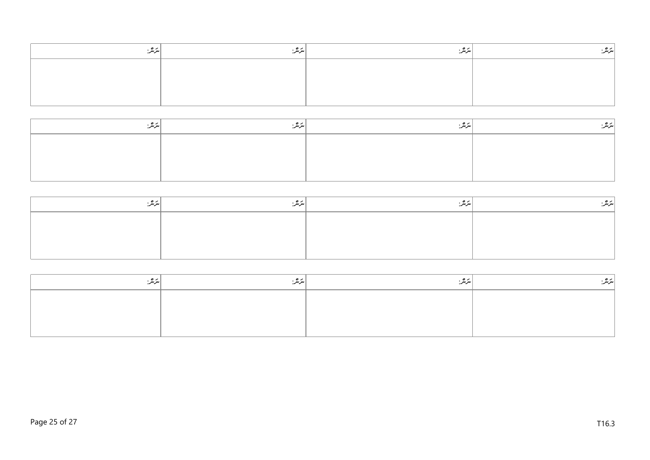| $\cdot$ | ο. | $\frac{\circ}{\cdot}$ | $\sim$<br>سرسر |
|---------|----|-----------------------|----------------|
|         |    |                       |                |
|         |    |                       |                |
|         |    |                       |                |

| يريثن | ' سرسر . |  |
|-------|----------|--|
|       |          |  |
|       |          |  |
|       |          |  |

| بر ه | 。 | $\sim$<br>َ سومس |  |
|------|---|------------------|--|
|      |   |                  |  |
|      |   |                  |  |
|      |   |                  |  |

| 。<br>. س | ىرىىر |  |
|----------|-------|--|
|          |       |  |
|          |       |  |
|          |       |  |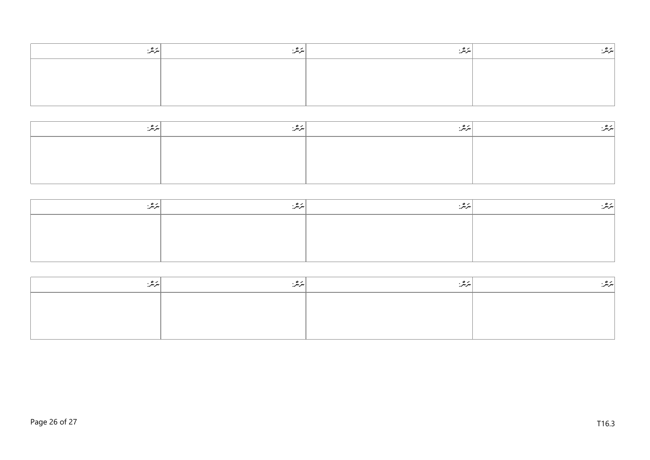| ير هو . | $\overline{\phantom{a}}$ | يرمر | لتزمثن |
|---------|--------------------------|------|--------|
|         |                          |      |        |
|         |                          |      |        |
|         |                          |      |        |

| ىر تىر: | $\circ$ $\sim$<br>" سرسر . | يترمير | o . |
|---------|----------------------------|--------|-----|
|         |                            |        |     |
|         |                            |        |     |
|         |                            |        |     |

| الترنثر: | ' مرتكز: | الترنثر: | .,<br>سرسر. |
|----------|----------|----------|-------------|
|          |          |          |             |
|          |          |          |             |
|          |          |          |             |

|  | . ه |
|--|-----|
|  |     |
|  |     |
|  |     |